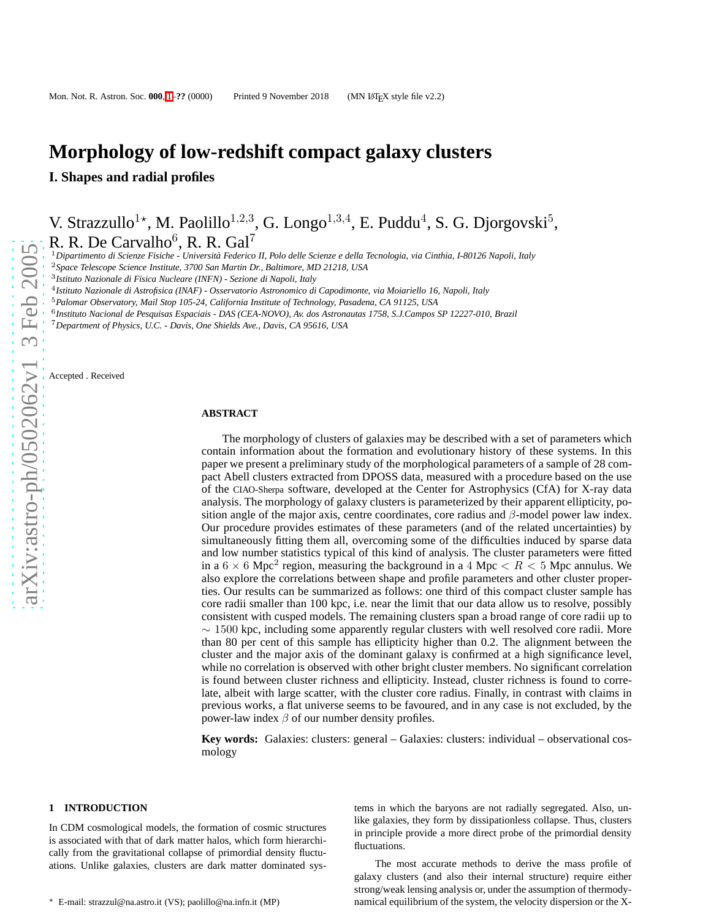# **Morphology of low-redshift compact galaxy clusters**

**I. Shapes and radial profiles**

V. Strazzullo<sup>1\*</sup>, M. Paolillo<sup>1,2,3</sup>, G. Longo<sup>1,3,4</sup>, E. Puddu<sup>4</sup>, S. G. Djorgovski<sup>5</sup>, R. R. De Carvalho<sup>6</sup>, R. R. Gal<sup>7</sup>

<sup>1</sup>*Dipartimento di Scienze Fisiche - Universit`a Federico II, Polo delle Scienze e della Tecnologia, via Cinthia, I-80126 Napoli, Italy*

<sup>2</sup>*Space Telescope Science Institute, 3700 San Martin Dr., Baltimore, MD 21218, USA*

3 *Istituto Nazionale di Fisica Nucleare (INFN) - Sezione di Napoli, Italy*

4 *Istituto Nazionale di Astrofisica (INAF) - Osservatorio Astronomico di Capodimonte, via Moiariello 16, Napoli, Italy*

<sup>5</sup>*Palomar Observatory, Mail Stop 105-24, California Institute of Technology, Pasadena, CA 91125, USA*

6 *Instituto Nacional de Pesquisas Espaciais - DAS (CEA-NOVO), Av. dos Astronautas 1758, S.J.Campos SP 12227-010, Brazil*

<sup>7</sup>*Department of Physics, U.C. - Davis, One Shields Ave., Davis, CA 95616, USA*

Accepted . Received

### **ABSTRACT**

The morphology of clusters of galaxies may be described with a set of parameters which contain information about the formation and evolutionary history of these systems. In this paper we present a preliminary study of the morphological parameters of a sample of 28 compact Abell clusters extracted from DPOSS data, measured with a procedure based on the use of the CIAO-Sherpa software, developed at the Center for Astrophysics (CfA) for X-ray data analysis. The morphology of galaxy clusters is parameterized by their apparent ellipticity, position angle of the major axis, centre coordinates, core radius and  $\beta$ -model power law index. Our procedure provides estimates of these parameters (and of the related uncertainties) by simultaneously fitting them all, overcoming some of the difficulties induced by sparse data and low number statistics typical of this kind of analysis. The cluster parameters were fitted in a  $6 \times 6$  Mpc<sup>2</sup> region, measuring the background in a 4 Mpc  $\lt R \lt 5$  Mpc annulus. We also explore the correlations between shape and profile parameters and other cluster properties. Our results can be summarized as follows: one third of this compact cluster sample has core radii smaller than 100 kpc, i.e. near the limit that our data allow us to resolve, possibly consistent with cusped models. The remaining clusters span a broad range of core radii up to ∼ 1500 kpc, including some apparently regular clusters with well resolved core radii. More than 80 per cent of this sample has ellipticity higher than 0.2. The alignment between the cluster and the major axis of the dominant galaxy is confirmed at a high significance level, while no correlation is observed with other bright cluster members. No significant correlation is found between cluster richness and ellipticity. Instead, cluster richness is found to correlate, albeit with large scatter, with the cluster core radius. Finally, in contrast with claims in previous works, a flat universe seems to be favoured, and in any case is not excluded, by the power-law index  $\beta$  of our number density profiles.

**Key words:** Galaxies: clusters: general – Galaxies: clusters: individual – observational cosmology

#### **1 INTRODUCTION**

In CDM cosmological models, the formation of cosmic structures is associated with that of dark matter halos, which form hierarchically from the gravitational collapse of primordial density fluctuations. Unlike galaxies, clusters are dark matter dominated systems in which the baryons are not radially segregated. Also, unlike galaxies, they form by dissipationless collapse. Thus, clusters in principle provide a more direct probe of the primordial density fluctuations.

The most accurate methods to derive the mass profile of galaxy clusters (and also their internal structure) require either strong/weak lensing analysis or, under the assumption of thermodynamical equilibrium of the system, the velocity dispersion or the X-

<sup>⋆</sup> E-mail: strazzul@na.astro.it (VS); paolillo@na.infn.it (MP)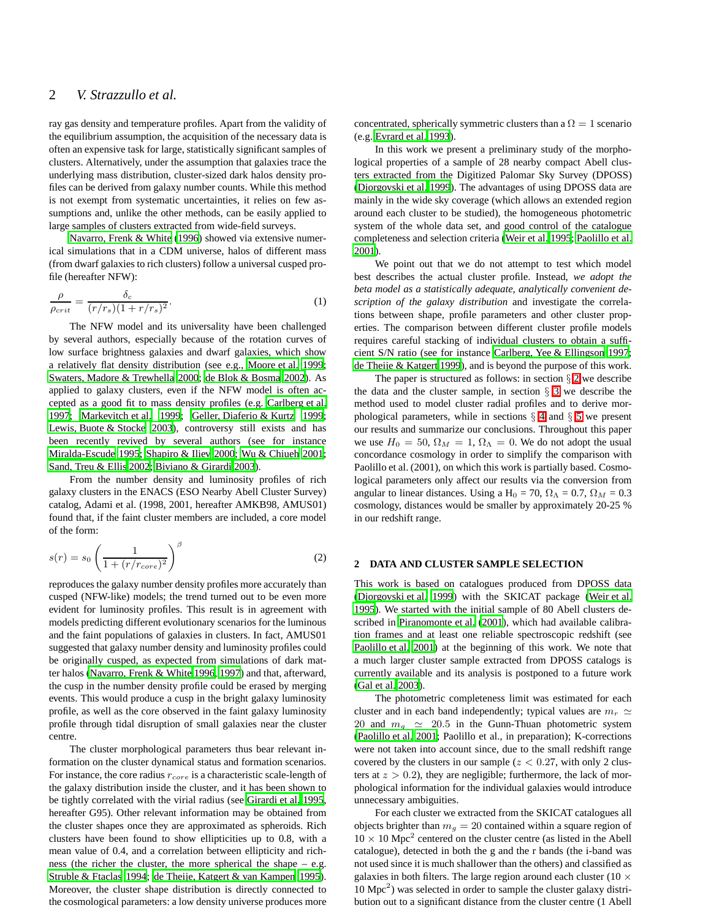ray gas density and temperature profiles. Apart from the validity of the equilibrium assumption, the acquisition of the necessary data is often an expensive task for large, statistically significant samples of clusters. Alternatively, under the assumption that galaxies trace the underlying mass distribution, cluster-sized dark halos density profiles can be derived from galaxy number counts. While this method is not exempt from systematic uncertainties, it relies on few assumptions and, unlike the other methods, can be easily applied to large samples of clusters extracted from wide-field surveys.

[Navarro, Frenk & White \(1996](#page-7-0)) showed via extensive numerical simulations that in a CDM universe, halos of different mass (from dwarf galaxies to rich clusters) follow a universal cusped profile (hereafter NFW):

$$
\frac{\rho}{\rho_{crit}} = \frac{\delta_c}{(r/r_s)(1 + r/r_s)^2}.
$$
\n(1)

The NFW model and its universality have been challenged by several authors, especially because of the rotation curves of low surface brightness galaxies and dwarf galaxies, which show a relatively flat density distribution (see e.g., [Moore et al. 1999;](#page-7-1) [Swaters, Madore & Trewhella 2000](#page-7-2); [de Blok & Bosma 2002\)](#page-7-3). As applied to galaxy clusters, even if the NFW model is often accepted as a good fit to mass density profiles (e.g. [Carlberg et al.](#page-7-4) [1997](#page-7-4); [Markevitch et al. 1999;](#page-7-5) [Geller, Diaferio & Kurtz 1999;](#page-7-6) [Lewis, Buote & Stocke 2003\)](#page-7-7), controversy still exists and has been recently revived by several authors (see for instance [Miralda-Escude 1995](#page-7-8); [Shapiro & Iliev 2000](#page-7-9); [Wu & Chiueh 2001;](#page-7-10) [Sand, Treu & Ellis 2002](#page-7-11); [Biviano & Girardi 2003](#page-7-12)).

From the number density and luminosity profiles of rich galaxy clusters in the ENACS (ESO Nearby Abell Cluster Survey) catalog, Adami et al. (1998, 2001, hereafter AMKB98, AMUS01) found that, if the faint cluster members are included, a core model of the form:

$$
s(r) = s_0 \left(\frac{1}{1 + (r/r_{core})^2}\right)^{\beta} \tag{2}
$$

reproduces the galaxy number density profiles more accurately than cusped (NFW-like) models; the trend turned out to be even more evident for luminosity profiles. This result is in agreement with models predicting different evolutionary scenarios for the luminous and the faint populations of galaxies in clusters. In fact, AMUS01 suggested that galaxy number density and luminosity profiles could be originally cusped, as expected from simulations of dark matter halos [\(Navarro, Frenk & White 1996](#page-7-0), [1997](#page-7-13)) and that, afterward, the cusp in the number density profile could be erased by merging events. This would produce a cusp in the bright galaxy luminosity profile, as well as the core observed in the faint galaxy luminosity profile through tidal disruption of small galaxies near the cluster centre.

The cluster morphological parameters thus bear relevant information on the cluster dynamical status and formation scenarios. For instance, the core radius  $r_{core}$  is a characteristic scale-length of the galaxy distribution inside the cluster, and it has been shown to be tightly correlated with the virial radius (see [Girardi et](#page-7-14) al. [1995,](#page-7-14) hereafter G95). Other relevant information may be obtained from the cluster shapes once they are approximated as spheroids. Rich clusters have been found to show ellipticities up to 0.8, with a mean value of 0.4, and a correlation between ellipticity and richness (the richer the cluster, the more spherical the shape – e.g. [Struble & Ftaclas 1994](#page-7-15); [de Theije, Katgert & van Kampen 1995](#page-7-16)). Moreover, the cluster shape distribution is directly connected to the cosmological parameters: a low density universe produces more concentrated, spherically symmetric clusters than a  $\Omega = 1$  scenario (e.g. [Evrard et al. 1993](#page-7-17)).

In this work we present a preliminary study of the morphological properties of a sample of 28 nearby compact Abell clusters extracted from the Digitized Palomar Sky Survey (DPOSS) [\(Djorgovski et al. 1999](#page-7-18)). The advantages of using DPOSS data are mainly in the wide sky coverage (which allows an extended region around each cluster to be studied), the homogeneous photometric system of the whole data set, and good control of the catalogue completeness and selection criteria [\(Weir et al. 1995](#page-7-19); [Paolillo et al.](#page-7-20) [2001](#page-7-20)).

We point out that we do not attempt to test which model best describes the actual cluster profile. Instead, *we adopt the beta model as a statistically adequate, analytically convenient description of the galaxy distribution* and investigate the correlations between shape, profile parameters and other cluster properties. The comparison between different cluster profile models requires careful stacking of individual clusters to obtain a sufficient S/N ratio (see for instance [Carlberg, Yee & Ellingson 1997;](#page-7-21) [de Theije & Katgert 1999](#page-7-22)), and is beyond the purpose of this work.

The paper is structured as follows: in section  $\S 2$  $\S 2$  we describe the data and the cluster sample, in section  $\S$  [3](#page-2-0) we describe the method used to model cluster radial profiles and to derive morphological parameters, while in sections  $\S$  [4](#page-4-0) and  $\S$  [5](#page-6-0) we present our results and summarize our conclusions. Throughout this paper we use  $H_0 = 50$ ,  $\Omega_M = 1$ ,  $\Omega_{\Lambda} = 0$ . We do not adopt the usual concordance cosmology in order to simplify the comparison with Paolillo et al. (2001), on which this work is partially based. Cosmological parameters only affect our results via the conversion from angular to linear distances. Using a H<sub>0</sub> = 70,  $\Omega_{\Lambda}$  = 0.7,  $\Omega_{M}$  = 0.3 cosmology, distances would be smaller by approximately 20-25 % in our redshift range.

#### <span id="page-1-0"></span>**2 DATA AND CLUSTER SAMPLE SELECTION**

This work is based on catalogues produced from DPOSS data [\(Djorgovski et al. 1999](#page-7-18)) with the SKICAT package [\(Weir et al.](#page-7-19) [1995](#page-7-19)). We started with the initial sample of 80 Abell clusters described in [Piranomonte et al. \(2001](#page-7-23)), which had available calibration frames and at least one reliable spectroscopic redshift (see [Paolillo et al. 2001](#page-7-20)) at the beginning of this work. We note that a much larger cluster sample extracted from DPOSS catalogs is currently available and its analysis is postponed to a future work [\(Gal et al. 2003\)](#page-7-24).

The photometric completeness limit was estimated for each cluster and in each band independently; typical values are  $m_r \simeq$ 20 and  $m<sub>g</sub> \simeq 20.5$  in the Gunn-Thuan photometric system [\(Paolillo et al. 2001](#page-7-20); Paolillo et al., in preparation); K-corrections were not taken into account since, due to the small redshift range covered by the clusters in our sample ( $z < 0.27$ , with only 2 clusters at  $z > 0.2$ ), they are negligible; furthermore, the lack of morphological information for the individual galaxies would introduce unnecessary ambiguities.

For each cluster we extracted from the SKICAT catalogues all objects brighter than  $m<sub>g</sub> = 20$  contained within a square region of  $10 \times 10$  Mpc<sup>2</sup> centered on the cluster centre (as listed in the Abell catalogue), detected in both the g and the r bands (the i-band was not used since it is much shallower than the others) and classified as galaxies in both filters. The large region around each cluster (10  $\times$ 10 Mpc<sup>2</sup> ) was selected in order to sample the cluster galaxy distribution out to a significant distance from the cluster centre (1 Abell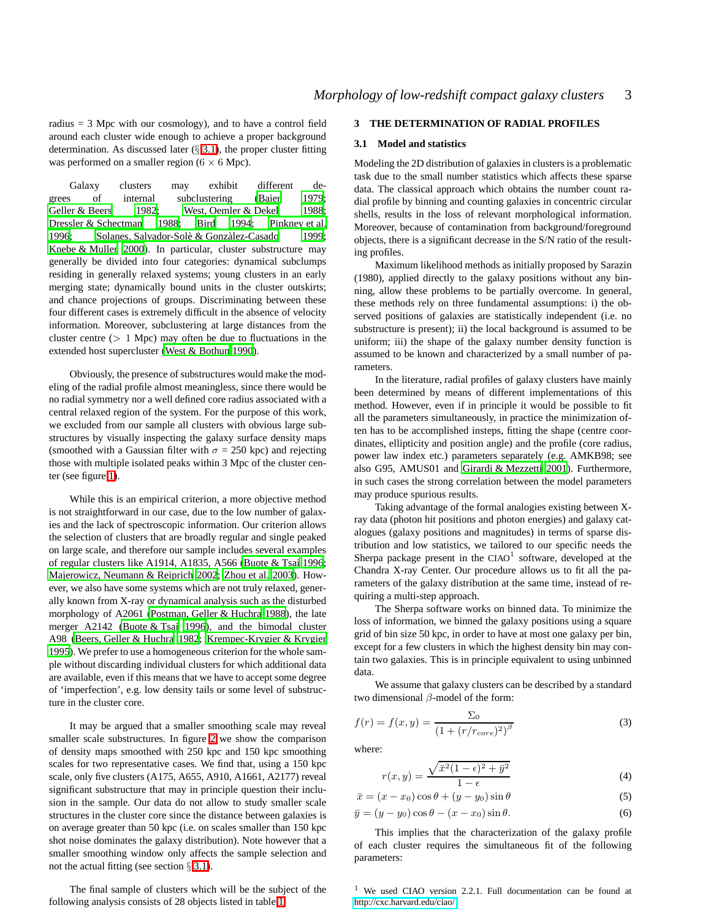radius = 3 Mpc with our cosmology), and to have a control field around each cluster wide enough to achieve a proper background determination. As discussed later  $(\S 3.1)$  $(\S 3.1)$ , the proper cluster fitting was performed on a smaller region  $(6 \times 6 \text{ Mpc})$ .

Galaxy clusters may exhibit different degrees of internal subclustering [\(Baier 1979;](#page-7-25) [Geller & Beers 1982;](#page-7-26) [West, Oemler & Dekel 1988;](#page-7-27) [Dressler & Schectman 1988;](#page-7-28) [Bird 1994](#page-7-29); [Pinkney et al.](#page-7-30) [1996;](#page-7-30) Solanes, Salvador-Solè & Gonzàlez-Casado 1999; [Knebe & Muller 2000](#page-7-32)). In particular, cluster substructure may generally be divided into four categories: dynamical subclumps residing in generally relaxed systems; young clusters in an early merging state; dynamically bound units in the cluster outskirts; and chance projections of groups. Discriminating between these four different cases is extremely difficult in the absence of velocity information. Moreover, subclustering at large distances from the cluster centre  $(1 Mpc)$  may often be due to fluctuations in the extended host supercluster [\(West & Bothun 1990](#page-7-33)).

Obviously, the presence of substructures would make the modeling of the radial profile almost meaningless, since there would be no radial symmetry nor a well defined core radius associated with a central relaxed region of the system. For the purpose of this work, we excluded from our sample all clusters with obvious large substructures by visually inspecting the galaxy surface density maps (smoothed with a Gaussian filter with  $\sigma = 250$  kpc) and rejecting those with multiple isolated peaks within 3 Mpc of the cluster center (see figure [1\)](#page-11-0).

While this is an empirical criterion, a more objective method is not straightforward in our case, due to the low number of galaxies and the lack of spectroscopic information. Our criterion allows the selection of clusters that are broadly regular and single peaked on large scale, and therefore our sample includes several examples of regular clusters like A1914, A1835, A566 [\(Buote & Tsai 1996;](#page-7-34) [Majerowicz, Neumann & Reiprich 2002](#page-7-35); [Zhou et al. 2003](#page-7-36)). However, we also have some systems which are not truly relaxed, generally known from X-ray or dynamical analysis such as the disturbed morphology of A2061 [\(Postman, Geller & Huchra 1988](#page-7-37)), the late merger A2142 [\(Buote & Tsai 1996](#page-7-34)), and the bimodal cluster A98 [\(Beers, Geller & Huchra 1982](#page-7-38); [Krempec-Krygier & Krygier](#page-7-39) [1995](#page-7-39)). We prefer to use a homogeneous criterion for the whole sample without discarding individual clusters for which additional data are available, even if this means that we have to accept some degree of 'imperfection', e.g. low density tails or some level of substructure in the cluster core.

It may be argued that a smaller smoothing scale may reveal smaller scale substructures. In figure [2](#page-11-1) we show the comparison of density maps smoothed with 250 kpc and 150 kpc smoothing scales for two representative cases. We find that, using a 150 kpc scale, only five clusters (A175, A655, A910, A1661, A2177) reveal significant substructure that may in principle question their inclusion in the sample. Our data do not allow to study smaller scale structures in the cluster core since the distance between galaxies is on average greater than 50 kpc (i.e. on scales smaller than 150 kpc shot noise dominates the galaxy distribution). Note however that a smaller smoothing window only affects the sample selection and not the actual fitting (see section  $\S 3.1$ ).

The final sample of clusters which will be the subject of the following analysis consists of 28 objects listed in table [1.](#page-8-0)

# <span id="page-2-1"></span><span id="page-2-0"></span>**3 THE DETERMINATION OF RADIAL PROFILES**

#### **3.1 Model and statistics**

Modeling the 2D distribution of galaxies in clusters is a problematic task due to the small number statistics which affects these sparse data. The classical approach which obtains the number count radial profile by binning and counting galaxies in concentric circular shells, results in the loss of relevant morphological information. Moreover, because of contamination from background/foreground objects, there is a significant decrease in the S/N ratio of the resulting profiles.

Maximum likelihood methods as initially proposed by Sarazin (1980), applied directly to the galaxy positions without any binning, allow these problems to be partially overcome. In general, these methods rely on three fundamental assumptions: i) the observed positions of galaxies are statistically independent (i.e. no substructure is present); ii) the local background is assumed to be uniform; iii) the shape of the galaxy number density function is assumed to be known and characterized by a small number of parameters.

In the literature, radial profiles of galaxy clusters have mainly been determined by means of different implementations of this method. However, even if in principle it would be possible to fit all the parameters simultaneously, in practice the minimization often has to be accomplished insteps, fitting the shape (centre coordinates, ellipticity and position angle) and the profile (core radius, power law index etc.) parameters separately (e.g. AMKB98; see also G95, AMUS01 and [Girardi & Mezzetti 2001](#page-7-40)). Furthermore, in such cases the strong correlation between the model parameters may produce spurious results.

Taking advantage of the formal analogies existing between Xray data (photon hit positions and photon energies) and galaxy catalogues (galaxy positions and magnitudes) in terms of sparse distribution and low statistics, we tailored to our specific needs the Sherpa package present in the  $CIAO<sup>1</sup>$  software, developed at the Chandra X-ray Center. Our procedure allows us to fit all the parameters of the galaxy distribution at the same time, instead of requiring a multi-step approach.

The Sherpa software works on binned data. To minimize the loss of information, we binned the galaxy positions using a square grid of bin size 50 kpc, in order to have at most one galaxy per bin, except for a few clusters in which the highest density bin may contain two galaxies. This is in principle equivalent to using unbinned data.

We assume that galaxy clusters can be described by a standard two dimensional β-model of the form:

$$
f(r) = f(x, y) = \frac{\Sigma_0}{(1 + (r/r_{core})^2)^{\beta}}
$$
 (3)

where:

$$
r(x,y) = \frac{\sqrt{\bar{x}^2(1-\epsilon)^2 + \bar{y}^2}}{1-\epsilon}
$$
 (4)

$$
\bar{x} = (x - x_0)\cos\theta + (y - y_0)\sin\theta\tag{5}
$$

$$
\bar{y} = (y - y_0)\cos\theta - (x - x_0)\sin\theta. \tag{6}
$$

This implies that the characterization of the galaxy profile of each cluster requires the simultaneous fit of the following parameters:

<sup>1</sup> We used CIAO version 2.2.1. Full documentation can be found at <http://cxc.harvard.edu/ciao/>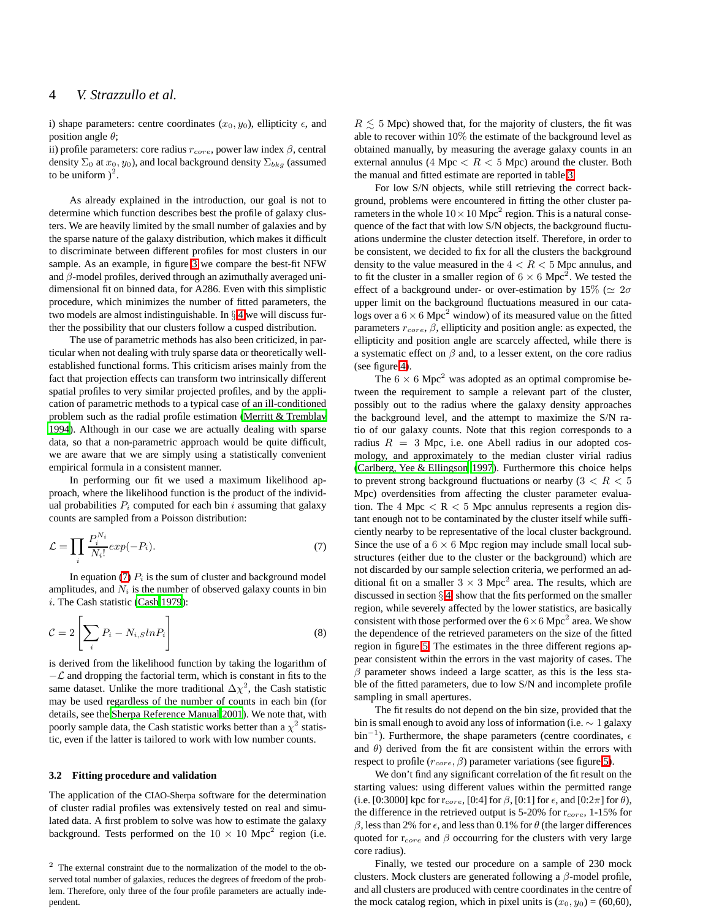i) shape parameters: centre coordinates  $(x_0, y_0)$ , ellipticity  $\epsilon$ , and position angle  $\theta$ ;

ii) profile parameters: core radius  $r_{core}$ , power law index  $\beta$ , central density  $\Sigma_0$  at  $x_0, y_0$ ), and local background density  $\Sigma_{bkg}$  (assumed to be uniform  $)^2$ .

As already explained in the introduction, our goal is not to determine which function describes best the profile of galaxy clusters. We are heavily limited by the small number of galaxies and by the sparse nature of the galaxy distribution, which makes it difficult to discriminate between different profiles for most clusters in our sample. As an example, in figure [3](#page-11-2) we compare the best-fit NFW and  $\beta$ -model profiles, derived through an azimuthally averaged unidimensional fit on binned data, for A286. Even with this simplistic procedure, which minimizes the number of fitted parameters, the two models are almost indistinguishable. In § [4](#page-4-0) we will discuss further the possibility that our clusters follow a cusped distribution.

The use of parametric methods has also been criticized, in particular when not dealing with truly sparse data or theoretically wellestablished functional forms. This criticism arises mainly from the fact that projection effects can transform two intrinsically different spatial profiles to very similar projected profiles, and by the application of parametric methods to a typical case of an ill-conditioned problem such as the radial profile estimation [\(Merritt & Tremblay](#page-7-41) [1994\)](#page-7-41). Although in our case we are actually dealing with sparse data, so that a non-parametric approach would be quite difficult, we are aware that we are simply using a statistically convenient empirical formula in a consistent manner.

In performing our fit we used a maximum likelihood approach, where the likelihood function is the product of the individual probabilities  $P_i$  computed for each bin i assuming that galaxy counts are sampled from a Poisson distribution:

<span id="page-3-0"></span>
$$
\mathcal{L} = \prod_{i} \frac{P_i^{N_i}}{N_i!} \exp(-P_i). \tag{7}
$$

In equation [\(7\)](#page-3-0)  $P_i$  is the sum of cluster and background model amplitudes, and  $N_i$  is the number of observed galaxy counts in bin i. The Cash statistic [\(Cash 1979\)](#page-7-42):

$$
\mathcal{C} = 2\left[\sum_{i} P_i - N_{i, S} ln P_i\right]
$$
\n(8)

is derived from the likelihood function by taking the logarithm of  $-\mathcal{L}$  and dropping the factorial term, which is constant in fits to the same dataset. Unlike the more traditional  $\Delta \chi^2$ , the Cash statistic may be used regardless of the number of counts in each bin (for details, see the [Sherpa Reference Manual 2001](#page-7-43)). We note that, with poorly sample data, the Cash statistic works better than a  $\chi^2$  statistic, even if the latter is tailored to work with low number counts.

#### <span id="page-3-1"></span>**3.2 Fitting procedure and validation**

The application of the CIAO-Sherpa software for the determination of cluster radial profiles was extensively tested on real and simulated data. A first problem to solve was how to estimate the galaxy background. Tests performed on the  $10 \times 10$  Mpc<sup>2</sup> region (i.e.

 $R \leq 5$  Mpc) showed that, for the majority of clusters, the fit was able to recover within 10% the estimate of the background level as obtained manually, by measuring the average galaxy counts in an external annulus (4 Mpc  $\langle R \rangle$  5 Mpc) around the cluster. Both the manual and fitted estimate are reported in table [3.](#page-10-0)

For low S/N objects, while still retrieving the correct background, problems were encountered in fitting the other cluster parameters in the whole  $10 \times 10$  Mpc<sup>2</sup> region. This is a natural consequence of the fact that with low S/N objects, the background fluctuations undermine the cluster detection itself. Therefore, in order to be consistent, we decided to fix for all the clusters the background density to the value measured in the  $4 < R < 5$  Mpc annulus, and to fit the cluster in a smaller region of  $6 \times 6$  Mpc<sup>2</sup>. We tested the effect of a background under- or over-estimation by 15% ( $\simeq 2\sigma$ upper limit on the background fluctuations measured in our catalogs over a  $6 \times 6$  Mpc<sup>2</sup> window) of its measured value on the fitted parameters  $r_{core}$ ,  $\beta$ , ellipticity and position angle: as expected, the ellipticity and position angle are scarcely affected, while there is a systematic effect on  $\beta$  and, to a lesser extent, on the core radius (see figure [4\)](#page-11-3).

The  $6 \times 6$  Mpc<sup>2</sup> was adopted as an optimal compromise between the requirement to sample a relevant part of the cluster, possibly out to the radius where the galaxy density approaches the background level, and the attempt to maximize the S/N ratio of our galaxy counts. Note that this region corresponds to a radius  $R = 3$  Mpc, i.e. one Abell radius in our adopted cosmology, and approximately to the median cluster virial radius [\(Carlberg, Yee & Ellingson 1997](#page-7-21)). Furthermore this choice helps to prevent strong background fluctuations or nearby  $(3 < R < 5$ Mpc) overdensities from affecting the cluster parameter evaluation. The 4 Mpc  $\lt R \lt 5$  Mpc annulus represents a region distant enough not to be contaminated by the cluster itself while sufficiently nearby to be representative of the local cluster background. Since the use of a  $6 \times 6$  Mpc region may include small local substructures (either due to the cluster or the background) which are not discarded by our sample selection criteria, we performed an additional fit on a smaller  $3 \times 3$  Mpc<sup>2</sup> area. The results, which are discussed in section § [4,](#page-4-0) show that the fits performed on the smaller region, while severely affected by the lower statistics, are basically consistent with those performed over the  $6 \times 6$  Mpc<sup>2</sup> area. We show the dependence of the retrieved parameters on the size of the fitted region in figure [5.](#page-12-0) The estimates in the three different regions appear consistent within the errors in the vast majority of cases. The  $\beta$  parameter shows indeed a large scatter, as this is the less stable of the fitted parameters, due to low S/N and incomplete profile sampling in small apertures.

The fit results do not depend on the bin size, provided that the bin is small enough to avoid any loss of information (i.e.  $\sim 1$  galaxy  $\sin^{-1}$ ). Furthermore, the shape parameters (centre coordinates,  $\epsilon$ and  $\theta$ ) derived from the fit are consistent within the errors with respect to profile ( $r_{core}$ ,  $\beta$ ) parameter variations (see figure [5\)](#page-12-0).

We don't find any significant correlation of the fit result on the starting values: using different values within the permitted range (i.e. [0:3000] kpc for  $r_{core}$ , [0:4] for  $\beta$ , [0:1] for  $\epsilon$ , and [0:2 $\pi$ ] for  $\theta$ ), the difference in the retrieved output is  $5\text{-}20\%$  for  $r_{core}$ ,  $1\text{-}15\%$  for  $β$ , less than 2% for  $ε$ , and less than 0.1% for  $θ$  (the larger differences quoted for  $r_{core}$  and  $\beta$  occourring for the clusters with very large core radius).

Finally, we tested our procedure on a sample of 230 mock clusters. Mock clusters are generated following a  $\beta$ -model profile, and all clusters are produced with centre coordinates in the centre of the mock catalog region, which in pixel units is  $(x_0, y_0) = (60, 60)$ ,

<sup>2</sup> The external constraint due to the normalization of the model to the observed total number of galaxies, reduces the degrees of freedom of the problem. Therefore, only three of the four profile parameters are actually independent.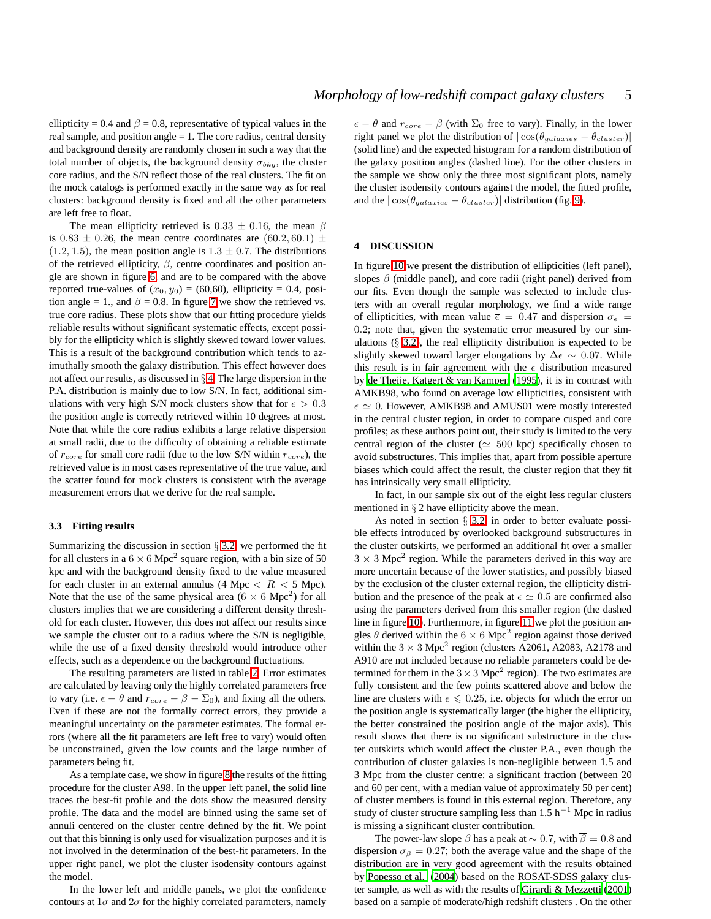ellipticity = 0.4 and  $\beta$  = 0.8, representative of typical values in the real sample, and position angle  $= 1$ . The core radius, central density and background density are randomly chosen in such a way that the total number of objects, the background density  $\sigma_{bkg}$ , the cluster core radius, and the S/N reflect those of the real clusters. The fit on the mock catalogs is performed exactly in the same way as for real clusters: background density is fixed and all the other parameters are left free to float.

The mean ellipticity retrieved is  $0.33 \pm 0.16$ , the mean  $\beta$ is 0.83  $\pm$  0.26, the mean centre coordinates are (60.2, 60.1)  $\pm$  $(1.2, 1.5)$ , the mean position angle is  $1.3 \pm 0.7$ . The distributions of the retrieved ellipticity,  $\beta$ , centre coordinates and position angle are shown in figure [6,](#page-12-1) and are to be compared with the above reported true-values of  $(x_0, y_0) = (60, 60)$ , ellipticity = 0.4, position angle = 1., and  $\beta$  = 0.8. In figure [7](#page-12-2) we show the retrieved vs. true core radius. These plots show that our fitting procedure yields reliable results without significant systematic effects, except possibly for the ellipticity which is slightly skewed toward lower values. This is a result of the background contribution which tends to azimuthally smooth the galaxy distribution. This effect however does not affect our results, as discussed in  $\S$  [4.](#page-4-0) The large dispersion in the P.A. distribution is mainly due to low S/N. In fact, additional simulations with very high S/N mock clusters show that for  $\epsilon > 0.3$ the position angle is correctly retrieved within 10 degrees at most. Note that while the core radius exhibits a large relative dispersion at small radii, due to the difficulty of obtaining a reliable estimate of  $r_{core}$  for small core radii (due to the low S/N within  $r_{core}$ ), the retrieved value is in most cases representative of the true value, and the scatter found for mock clusters is consistent with the average measurement errors that we derive for the real sample.

#### **3.3 Fitting results**

Summarizing the discussion in section  $\S$  [3.2,](#page-3-1) we performed the fit for all clusters in a  $6 \times 6$  Mpc<sup>2</sup> square region, with a bin size of 50 kpc and with the background density fixed to the value measured for each cluster in an external annulus (4 Mpc  $\langle R \rangle$  5 Mpc). Note that the use of the same physical area  $(6 \times 6 \text{ Mpc}^2)$  for all clusters implies that we are considering a different density threshold for each cluster. However, this does not affect our results since we sample the cluster out to a radius where the S/N is negligible, while the use of a fixed density threshold would introduce other effects, such as a dependence on the background fluctuations.

The resulting parameters are listed in table [2.](#page-9-0) Error estimates are calculated by leaving only the highly correlated parameters free to vary (i.e.  $\epsilon - \theta$  and  $r_{core} - \beta - \Sigma_0$ ), and fixing all the others. Even if these are not the formally correct errors, they provide a meaningful uncertainty on the parameter estimates. The formal errors (where all the fit parameters are left free to vary) would often be unconstrained, given the low counts and the large number of parameters being fit.

As a template case, we show in figure [8](#page-13-0) the results of the fitting procedure for the cluster A98. In the upper left panel, the solid line traces the best-fit profile and the dots show the measured density profile. The data and the model are binned using the same set of annuli centered on the cluster centre defined by the fit. We point out that this binning is only used for visualization purposes and it is not involved in the determination of the best-fit parameters. In the upper right panel, we plot the cluster isodensity contours against the model.

In the lower left and middle panels, we plot the confidence contours at  $1\sigma$  and  $2\sigma$  for the highly correlated parameters, namely

 $\epsilon - \theta$  and  $r_{core} - \beta$  (with  $\Sigma_0$  free to vary). Finally, in the lower right panel we plot the distribution of  $|\cos(\theta_{galaxies} - \theta_{cluster})|$ (solid line) and the expected histogram for a random distribution of the galaxy position angles (dashed line). For the other clusters in the sample we show only the three most significant plots, namely the cluster isodensity contours against the model, the fitted profile, and the  $|\cos(\theta_{galaxies} - \theta_{cluster})|$  distribution (fig. [9\)](#page-20-0).

## <span id="page-4-0"></span>**4 DISCUSSION**

In figure [10](#page-21-0) we present the distribution of ellipticities (left panel), slopes  $\beta$  (middle panel), and core radii (right panel) derived from our fits. Even though the sample was selected to include clusters with an overall regular morphology, we find a wide range of ellipticities, with mean value  $\bar{\epsilon} = 0.47$  and dispersion  $\sigma_{\epsilon} =$ 0.2; note that, given the systematic error measured by our simulations  $(\S$  [3.2\)](#page-3-1), the real ellipticity distribution is expected to be slightly skewed toward larger elongations by  $\Delta \epsilon \sim 0.07$ . While this result is in fair agreement with the  $\epsilon$  distribution measured by [de Theije, Katgert & van Kampen](#page-7-16) [\(1995](#page-7-16)), it is in contrast with AMKB98, who found on average low ellipticities, consistent with  $\epsilon \simeq 0$ . However, AMKB98 and AMUS01 were mostly interested in the central cluster region, in order to compare cusped and core profiles; as these authors point out, their study is limited to the very central region of the cluster ( $\simeq 500$  kpc) specifically chosen to avoid substructures. This implies that, apart from possible aperture biases which could affect the result, the cluster region that they fit has intrinsically very small ellipticity.

In fact, in our sample six out of the eight less regular clusters mentioned in § 2 have ellipticity above the mean.

As noted in section § [3.2,](#page-3-1) in order to better evaluate possible effects introduced by overlooked background substructures in the cluster outskirts, we performed an additional fit over a smaller  $3 \times 3$  Mpc<sup>2</sup> region. While the parameters derived in this way are more uncertain because of the lower statistics, and possibly biased by the exclusion of the cluster external region, the ellipticity distribution and the presence of the peak at  $\epsilon \simeq 0.5$  are confirmed also using the parameters derived from this smaller region (the dashed line in figure [10\)](#page-21-0). Furthermore, in figure [11](#page-21-1) we plot the position angles  $\theta$  derived within the  $6 \times 6$  Mpc<sup>2</sup> region against those derived within the  $3 \times 3$  Mpc<sup>2</sup> region (clusters A2061, A2083, A2178 and A910 are not included because no reliable parameters could be determined for them in the  $3 \times 3$  Mpc<sup>2</sup> region). The two estimates are fully consistent and the few points scattered above and below the line are clusters with  $\epsilon \leq 0.25$ , i.e. objects for which the error on the position angle is systematically larger (the higher the ellipticity, the better constrained the position angle of the major axis). This result shows that there is no significant substructure in the cluster outskirts which would affect the cluster P.A., even though the contribution of cluster galaxies is non-negligible between 1.5 and 3 Mpc from the cluster centre: a significant fraction (between 20 and 60 per cent, with a median value of approximately 50 per cent) of cluster members is found in this external region. Therefore, any study of cluster structure sampling less than 1.5 h<sup>-1</sup> Mpc in radius is missing a significant cluster contribution.

The power-law slope  $\beta$  has a peak at  $\sim 0.7$ , with  $\overline{\beta} = 0.8$  and dispersion  $\sigma_{\beta} = 0.27$ ; both the average value and the shape of the distribution are in very good agreement with the results obtained by [Popesso et al. \(2004\)](#page-7-44) based on the ROSAT-SDSS galaxy cluster sample, as well as with the results of [Girardi & Mezzetti \(2001](#page-7-40)) based on a sample of moderate/high redshift clusters . On the other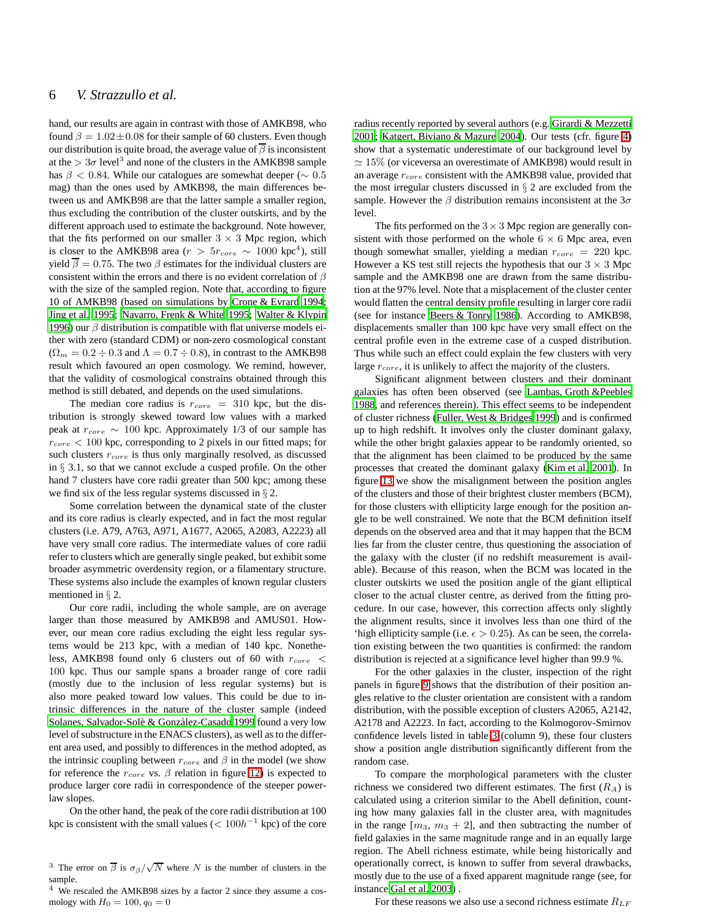hand, our results are again in contrast with those of AMKB98, who found  $\beta = 1.02 \pm 0.08$  for their sample of 60 clusters. Even though our distribution is quite broad, the average value of  $\beta$  is inconsistent at the  $> 3\sigma$  level<sup>3</sup> and none of the clusters in the AMKB98 sample has  $\beta$  < 0.84. While our catalogues are somewhat deeper ( $\sim 0.5$ ) mag) than the ones used by AMKB98, the main differences between us and AMKB98 are that the latter sample a smaller region, thus excluding the contribution of the cluster outskirts, and by the different approach used to estimate the background. Note however, that the fits performed on our smaller  $3 \times 3$  Mpc region, which is closer to the AMKB98 area ( $r > 5r_{core} \sim 1000 \text{ kpc}^4$ ), still yield  $\overline{\beta} = 0.75$ . The two  $\beta$  estimates for the individual clusters are consistent within the errors and there is no evident correlation of  $\beta$ with the size of the sampled region. Note that, according to figure 10 of AMKB98 (based on simulations by [Crone & Evrard 1994;](#page-7-45) [Jing et al. 1995](#page-7-46); [Navarro, Frenk & White 1995;](#page-7-47) [Walter & Klypin](#page-7-48) [1996\)](#page-7-48) our  $\beta$  distribution is compatible with flat universe models either with zero (standard CDM) or non-zero cosmological constant  $(\Omega_m = 0.2 \div 0.3$  and  $\Lambda = 0.7 \div 0.8$ ), in contrast to the AMKB98 result which favoured an open cosmology. We remind, however, that the validity of cosmological constrains obtained through this method is still debated, and depends on the used simulations.

The median core radius is  $r_{core} = 310$  kpc, but the distribution is strongly skewed toward low values with a marked peak at  $r_{core} \sim 100$  kpc. Approximately 1/3 of our sample has  $r_{core}$  < 100 kpc, corresponding to 2 pixels in our fitted maps; for such clusters  $r_{core}$  is thus only marginally resolved, as discussed in § 3.1, so that we cannot exclude a cusped profile. On the other hand 7 clusters have core radii greater than 500 kpc; among these we find six of the less regular systems discussed in § 2.

Some correlation between the dynamical state of the cluster and its core radius is clearly expected, and in fact the most regular clusters (i.e. A79, A763, A971, A1677, A2065, A2083, A2223) all have very small core radius. The intermediate values of core radii refer to clusters which are generally single peaked, but exhibit some broader asymmetric overdensity region, or a filamentary structure. These systems also include the examples of known regular clusters mentioned in § 2.

Our core radii, including the whole sample, are on average larger than those measured by AMKB98 and AMUS01. However, our mean core radius excluding the eight less regular systems would be 213 kpc, with a median of 140 kpc. Nonetheless, AMKB98 found only 6 clusters out of 60 with  $r_{core}$  < 100 kpc. Thus our sample spans a broader range of core radii (mostly due to the inclusion of less regular systems) but is also more peaked toward low values. This could be due to intrinsic differences in the nature of the cluster sample (indeed Solanes, Salvador-Solè & Gonzàlez-Casado 1999 found a very low level of substructure in the ENACS clusters), as well as to the different area used, and possibly to differences in the method adopted, as the intrinsic coupling between  $r_{core}$  and  $\beta$  in the model (we show for reference the  $r_{core}$  vs.  $\beta$  relation in figure [12\)](#page-21-2) is expected to produce larger core radii in correspondence of the steeper powerlaw slopes.

On the other hand, the peak of the core radii distribution at 100 kpc is consistent with the small values ( $< 100h^{-1}$  kpc) of the core

radius recently reported by several authors (e.g. [Girardi &](#page-7-40) Mezzetti [2001](#page-7-40); [Katgert, Biviano & Mazure 2004\)](#page-7-49). Our tests (cfr. figure [4\)](#page-11-3) show that a systematic underestimate of our background level by  $\simeq 15\%$  (or viceversa an overestimate of AMKB98) would result in an average  $r_{core}$  consistent with the AMKB98 value, provided that the most irregular clusters discussed in  $\S$  2 are excluded from the sample. However the  $\beta$  distribution remains inconsistent at the  $3\sigma$ level.

The fits performed on the  $3 \times 3$  Mpc region are generally consistent with those performed on the whole  $6 \times 6$  Mpc area, even though somewhat smaller, yielding a median  $r_{core} = 220$  kpc. However a KS test still rejects the hypothesis that our  $3 \times 3$  Mpc sample and the AMKB98 one are drawn from the same distribution at the 97% level. Note that a misplacement of the cluster center would flatten the central density profile resulting in larger core radii (see for instance [Beers & Tonry 1986](#page-7-50)). According to AMKB98, displacements smaller than 100 kpc have very small effect on the central profile even in the extreme case of a cusped distribution. Thus while such an effect could explain the few clusters with very large  $r_{core}$ , it is unlikely to affect the majority of the clusters.

Significant alignment between clusters and their dominant galaxies has often been observed (see [Lambas, Groth &Peebles](#page-7-51) [1988](#page-7-51), and references therein). This effect seems to be independent of cluster richness [\(Fuller, West & Bridges 1999\)](#page-7-52) and is confirmed up to high redshift. It involves only the cluster dominant galaxy, while the other bright galaxies appear to be randomly oriented, so that the alignment has been claimed to be produced by the same processes that created the dominant galaxy [\(Kim et al. 2001](#page-7-53)). In figure [13](#page-21-3) we show the misalignment between the position angles of the clusters and those of their brightest cluster members (BCM), for those clusters with ellipticity large enough for the position angle to be well constrained. We note that the BCM definition itself depends on the observed area and that it may happen that the BCM lies far from the cluster centre, thus questioning the association of the galaxy with the cluster (if no redshift measurement is available). Because of this reason, when the BCM was located in the cluster outskirts we used the position angle of the giant elliptical closer to the actual cluster centre, as derived from the fitting procedure. In our case, however, this correction affects only slightly the alignment results, since it involves less than one third of the 'high ellipticity sample (i.e.  $\epsilon > 0.25$ ). As can be seen, the correlation existing between the two quantities is confirmed: the random distribution is rejected at a significance level higher than 99.9 %.

For the other galaxies in the cluster, inspection of the right panels in figure [9](#page-20-0) shows that the distribution of their position angles relative to the cluster orientation are consistent with a random distribution, with the possible exception of clusters A2065, A2142, A2178 and A2223. In fact, according to the Kolmogorov-Smirnov confidence levels listed in table [3](#page-10-0) (column 9), these four clusters show a position angle distribution significantly different from the random case.

To compare the morphological parameters with the cluster richness we considered two different estimates. The first  $(R_A)$  is calculated using a criterion similar to the Abell definition, counting how many galaxies fall in the cluster area, with magnitudes in the range  $[m_3, m_3 + 2]$ , and then subtracting the number of field galaxies in the same magnitude range and in an equally large region. The Abell richness estimate, while being historically and operationally correct, is known to suffer from several drawbacks, mostly due to the use of a fixed apparent magnitude range (see, for instance [Gal et al. 2003](#page-7-24)) .

For these reasons we also use a second richness estimate  $R_{LF}$ 

<sup>&</sup>lt;sup>3</sup> The error on  $\overline{\beta}$  is  $\sigma_{\beta}/\sqrt{N}$  where N is the number of clusters in the sample.

<sup>4</sup> We rescaled the AMKB98 sizes by a factor 2 since they assume a cosmology with  $H_0 = 100, q_0 = 0$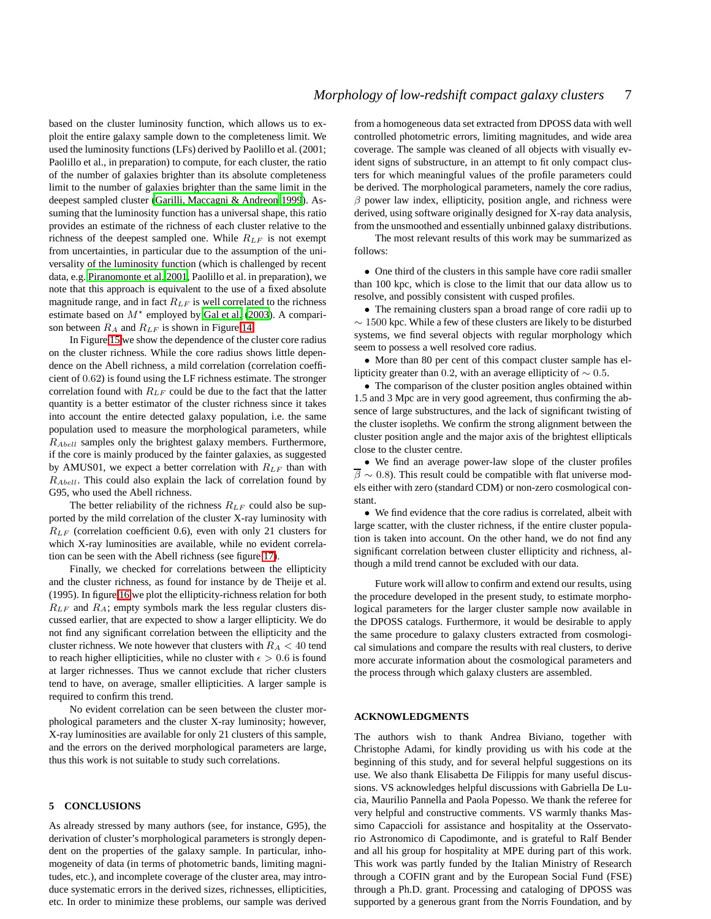based on the cluster luminosity function, which allows us to exploit the entire galaxy sample down to the completeness limit. We used the luminosity functions (LFs) derived by Paolillo et al. (2001; Paolillo et al., in preparation) to compute, for each cluster, the ratio of the number of galaxies brighter than its absolute completeness limit to the number of galaxies brighter than the same limit in the deepest sampled cluster [\(Garilli, Maccagni & Andreon 1999](#page-7-54)). Assuming that the luminosity function has a universal shape, this ratio provides an estimate of the richness of each cluster relative to the richness of the deepest sampled one. While  $R_{LF}$  is not exempt from uncertainties, in particular due to the assumption of the universality of the luminosity function (which is challenged by recent data, e.g. [Piranomonte et al. 2001](#page-7-23), Paolillo et al. in preparation), we note that this approach is equivalent to the use of a fixed absolute magnitude range, and in fact  $R_{LF}$  is well correlated to the richness estimate based on  $M^*$  employed by [Gal et al. \(2003\)](#page-7-24). A comparison between  $R_A$  and  $R_{LF}$  is shown in Figure [14.](#page-21-4)

In Figure [15](#page-21-5) we show the dependence of the cluster core radius on the cluster richness. While the core radius shows little dependence on the Abell richness, a mild correlation (correlation coefficient of 0.62) is found using the LF richness estimate. The stronger correlation found with  $R_{LF}$  could be due to the fact that the latter quantity is a better estimator of the cluster richness since it takes into account the entire detected galaxy population, i.e. the same population used to measure the morphological parameters, while  $R_{Abell}$  samples only the brightest galaxy members. Furthermore, if the core is mainly produced by the fainter galaxies, as suggested by AMUS01, we expect a better correlation with  $R_{LF}$  than with  $R_{Abell}$ . This could also explain the lack of correlation found by G95, who used the Abell richness.

The better reliability of the richness  $R_{LF}$  could also be supported by the mild correlation of the cluster X-ray luminosity with  $R_{LF}$  (correlation coefficient 0.6), even with only 21 clusters for which X-ray luminosities are available, while no evident correlation can be seen with the Abell richness (see figure [17\)](#page-22-0).

Finally, we checked for correlations between the ellipticity and the cluster richness, as found for instance by de Theije et al. (1995). In figure [16](#page-22-1) we plot the ellipticity-richness relation for both  $R_{LF}$  and  $R_A$ ; empty symbols mark the less regular clusters discussed earlier, that are expected to show a larger ellipticity. We do not find any significant correlation between the ellipticity and the cluster richness. We note however that clusters with  $R_A < 40$  tend to reach higher ellipticities, while no cluster with  $\epsilon > 0.6$  is found at larger richnesses. Thus we cannot exclude that richer clusters tend to have, on average, smaller ellipticities. A larger sample is required to confirm this trend.

No evident correlation can be seen between the cluster morphological parameters and the cluster X-ray luminosity; however, X-ray luminosities are available for only 21 clusters of this sample, and the errors on the derived morphological parameters are large, thus this work is not suitable to study such correlations.

### <span id="page-6-0"></span>**5 CONCLUSIONS**

As already stressed by many authors (see, for instance, G95), the derivation of cluster's morphological parameters is strongly dependent on the properties of the galaxy sample. In particular, inhomogeneity of data (in terms of photometric bands, limiting magnitudes, etc.), and incomplete coverage of the cluster area, may introduce systematic errors in the derived sizes, richnesses, ellipticities, etc. In order to minimize these problems, our sample was derived from a homogeneous data set extracted from DPOSS data with well controlled photometric errors, limiting magnitudes, and wide area coverage. The sample was cleaned of all objects with visually evident signs of substructure, in an attempt to fit only compact clusters for which meaningful values of the profile parameters could be derived. The morphological parameters, namely the core radius,  $\beta$  power law index, ellipticity, position angle, and richness were derived, using software originally designed for X-ray data analysis, from the unsmoothed and essentially unbinned galaxy distributions.

The most relevant results of this work may be summarized as follows:

• One third of the clusters in this sample have core radii smaller than 100 kpc, which is close to the limit that our data allow us to resolve, and possibly consistent with cusped profiles.

• The remaining clusters span a broad range of core radii up to ∼ 1500 kpc. While a few of these clusters are likely to be disturbed systems, we find several objects with regular morphology which seem to possess a well resolved core radius.

• More than 80 per cent of this compact cluster sample has ellipticity greater than 0.2, with an average ellipticity of  $\sim 0.5$ .

• The comparison of the cluster position angles obtained within 1.5 and 3 Mpc are in very good agreement, thus confirming the absence of large substructures, and the lack of significant twisting of the cluster isopleths. We confirm the strong alignment between the cluster position angle and the major axis of the brightest ellipticals close to the cluster centre.

• We find an average power-law slope of the cluster profiles  $\overline{\beta} \sim 0.8$ ). This result could be compatible with flat universe models either with zero (standard CDM) or non-zero cosmological constant.

• We find evidence that the core radius is correlated, albeit with large scatter, with the cluster richness, if the entire cluster population is taken into account. On the other hand, we do not find any significant correlation between cluster ellipticity and richness, although a mild trend cannot be excluded with our data.

Future work will allow to confirm and extend our results, using the procedure developed in the present study, to estimate morphological parameters for the larger cluster sample now available in the DPOSS catalogs. Furthermore, it would be desirable to apply the same procedure to galaxy clusters extracted from cosmological simulations and compare the results with real clusters, to derive more accurate information about the cosmological parameters and the process through which galaxy clusters are assembled.

#### **ACKNOWLEDGMENTS**

The authors wish to thank Andrea Biviano, together with Christophe Adami, for kindly providing us with his code at the beginning of this study, and for several helpful suggestions on its use. We also thank Elisabetta De Filippis for many useful discussions. VS acknowledges helpful discussions with Gabriella De Lucia, Maurilio Pannella and Paola Popesso. We thank the referee for very helpful and constructive comments. VS warmly thanks Massimo Capaccioli for assistance and hospitality at the Osservatorio Astronomico di Capodimonte, and is grateful to Ralf Bender and all his group for hospitality at MPE during part of this work. This work was partly funded by the Italian Ministry of Research through a COFIN grant and by the European Social Fund (FSE) through a Ph.D. grant. Processing and cataloging of DPOSS was supported by a generous grant from the Norris Foundation, and by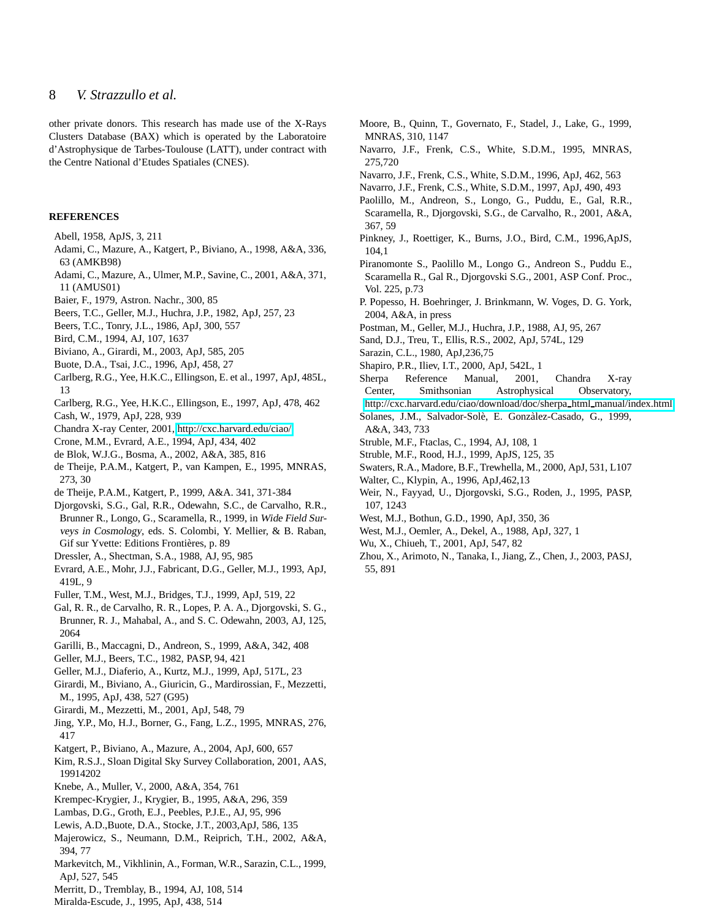other private donors. This research has made use of the X-Rays Clusters Database (BAX) which is operated by the Laboratoire d'Astrophysique de Tarbes-Toulouse (LATT), under contract with the Centre National d'Etudes Spatiales (CNES).

#### **REFERENCES**

- Abell, 1958, ApJS, 3, 211
- Adami, C., Mazure, A., Katgert, P., Biviano, A., 1998, A&A, 336, 63 (AMKB98)
- Adami, C., Mazure, A., Ulmer, M.P., Savine, C., 2001, A&A, 371, 11 (AMUS01)
- <span id="page-7-25"></span>Baier, F., 1979, Astron. Nachr., 300, 85
- <span id="page-7-38"></span>Beers, T.C., Geller, M.J., Huchra, J.P., 1982, ApJ, 257, 23
- <span id="page-7-50"></span>Beers, T.C., Tonry, J.L., 1986, ApJ, 300, 557
- <span id="page-7-29"></span>Bird, C.M., 1994, AJ, 107, 1637
- <span id="page-7-12"></span>Biviano, A., Girardi, M., 2003, ApJ, 585, 205
- <span id="page-7-34"></span>Buote, D.A., Tsai, J.C., 1996, ApJ, 458, 27
- <span id="page-7-4"></span>Carlberg, R.G., Yee, H.K.C., Ellingson, E. et al., 1997, ApJ, 485L, 13
- <span id="page-7-21"></span>Carlberg, R.G., Yee, H.K.C., Ellingson, E., 1997, ApJ, 478, 462
- <span id="page-7-42"></span>Cash, W., 1979, ApJ, 228, 939
- Chandra X-ray Center, 2001,<http://cxc.harvard.edu/ciao/>
- <span id="page-7-45"></span>Crone, M.M., Evrard, A.E., 1994, ApJ, 434, 402
- <span id="page-7-3"></span>de Blok, W.J.G., Bosma, A., 2002, A&A, 385, 816
- <span id="page-7-16"></span>de Theije, P.A.M., Katgert, P., van Kampen, E., 1995, MNRAS, 273, 30
- <span id="page-7-22"></span>de Theije, P.A.M., Katgert, P., 1999, A&A. 341, 371-384
- <span id="page-7-18"></span>Djorgovski, S.G., Gal, R.R., Odewahn, S.C., de Carvalho, R.R., Brunner R., Longo, G., Scaramella, R., 1999, in Wide Field Surveys in Cosmology, eds. S. Colombi, Y. Mellier, & B. Raban, Gif sur Yvette: Editions Frontières, p. 89
- <span id="page-7-28"></span>Dressler, A., Shectman, S.A., 1988, AJ, 95, 985
- <span id="page-7-17"></span>Evrard, A.E., Mohr, J.J., Fabricant, D.G., Geller, M.J., 1993, ApJ, 419L, 9
- <span id="page-7-52"></span>Fuller, T.M., West, M.J., Bridges, T.J., 1999, ApJ, 519, 22
- <span id="page-7-24"></span>Gal, R. R., de Carvalho, R. R., Lopes, P. A. A., Djorgovski, S. G., Brunner, R. J., Mahabal, A., and S. C. Odewahn, 2003, AJ, 125,
- 2064 Garilli, B., Maccagni, D., Andreon, S., 1999, A&A, 342, 408
- <span id="page-7-54"></span><span id="page-7-26"></span>Geller, M.J., Beers, T.C., 1982, PASP, 94, 421
- <span id="page-7-6"></span>Geller, M.J., Diaferio, A., Kurtz, M.J., 1999, ApJ, 517L, 23
- <span id="page-7-14"></span>Girardi, M., Biviano, A., Giuricin, G., Mardirossian, F., Mezzetti, M., 1995, ApJ, 438, 527 (G95)
- <span id="page-7-40"></span>Girardi, M., Mezzetti, M., 2001, ApJ, 548, 79
- <span id="page-7-46"></span>Jing, Y.P., Mo, H.J., Borner, G., Fang, L.Z., 1995, MNRAS, 276, 417
- <span id="page-7-49"></span>Katgert, P., Biviano, A., Mazure, A., 2004, ApJ, 600, 657
- <span id="page-7-53"></span>Kim, R.S.J., Sloan Digital Sky Survey Collaboration, 2001, AAS, 19914202
- <span id="page-7-32"></span>Knebe, A., Muller, V., 2000, A&A, 354, 761
- <span id="page-7-39"></span>Krempec-Krygier, J., Krygier, B., 1995, A&A, 296, 359
- <span id="page-7-51"></span>Lambas, D.G., Groth, E.J., Peebles, P.J.E., AJ, 95, 996
- <span id="page-7-7"></span>Lewis, A.D.,Buote, D.A., Stocke, J.T., 2003,ApJ, 586, 135
- <span id="page-7-35"></span>Majerowicz, S., Neumann, D.M., Reiprich, T.H., 2002, A&A, 394, 77
- <span id="page-7-5"></span>Markevitch, M., Vikhlinin, A., Forman, W.R., Sarazin, C.L., 1999, ApJ, 527, 545
- Merritt, D., Tremblay, B., 1994, AJ, 108, 514
- <span id="page-7-41"></span><span id="page-7-8"></span>Miralda-Escude, J., 1995, ApJ, 438, 514
- <span id="page-7-1"></span>Moore, B., Quinn, T., Governato, F., Stadel, J., Lake, G., 1999, MNRAS, 310, 1147
- <span id="page-7-47"></span>Navarro, J.F., Frenk, C.S., White, S.D.M., 1995, MNRAS, 275,720
- <span id="page-7-0"></span>Navarro, J.F., Frenk, C.S., White, S.D.M., 1996, ApJ, 462, 563
- <span id="page-7-20"></span><span id="page-7-13"></span>Navarro, J.F., Frenk, C.S., White, S.D.M., 1997, ApJ, 490, 493
- Paolillo, M., Andreon, S., Longo, G., Puddu, E., Gal, R.R., Scaramella, R., Djorgovski, S.G., de Carvalho, R., 2001, A&A, 367, 59
- <span id="page-7-30"></span>Pinkney, J., Roettiger, K., Burns, J.O., Bird, C.M., 1996,ApJS, 104,1
- <span id="page-7-23"></span>Piranomonte S., Paolillo M., Longo G., Andreon S., Puddu E., Scaramella R., Gal R., Djorgovski S.G., 2001, ASP Conf. Proc., Vol. 225, p.73
- <span id="page-7-44"></span>P. Popesso, H. Boehringer, J. Brinkmann, W. Voges, D. G. York, 2004, A&A, in press
- <span id="page-7-37"></span>Postman, M., Geller, M.J., Huchra, J.P., 1988, AJ, 95, 267
- <span id="page-7-11"></span>Sand, D.J., Treu, T., Ellis, R.S., 2002, ApJ, 574L, 129
- Sarazin, C.L., 1980, ApJ,236,75
- <span id="page-7-43"></span><span id="page-7-9"></span>Shapiro, P.R., Iliev, I.T., 2000, ApJ, 542L, 1
- Sherpa Reference Manual, 2001, Chandra X-ray Center, Smithsonian Astrophysical Observatory,
- <span id="page-7-31"></span>[http://cxc.harvard.edu/ciao/download/doc/sherpa](http://cxc.harvard.edu/ciao/download/doc/sherpa_html_manual/index.html) html manual/index.html Solanes, J.M., Salvador-Solè, E. Gonzàlez-Casado, G., 1999,
- A&A, 343, 733
- <span id="page-7-15"></span>Struble, M.F., Ftaclas, C., 1994, AJ, 108, 1
- <span id="page-7-55"></span>Struble, M.F., Rood, H.J., 1999, ApJS, 125, 35
- Swaters, R.A., Madore, B.F., Trewhella, M., 2000, ApJ, 531, L107
- Walter, C., Klypin, A., 1996, ApJ,462,13
- <span id="page-7-48"></span><span id="page-7-19"></span><span id="page-7-2"></span>Weir, N., Fayyad, U., Djorgovski, S.G., Roden, J., 1995, PASP, 107, 1243
- <span id="page-7-33"></span>West, M.J., Bothun, G.D., 1990, ApJ, 350, 36
- West, M.J., Oemler, A., Dekel, A., 1988, ApJ, 327, 1
- <span id="page-7-36"></span><span id="page-7-27"></span><span id="page-7-10"></span>Wu, X., Chiueh, T., 2001, ApJ, 547, 82
- Zhou, X., Arimoto, N., Tanaka, I., Jiang, Z., Chen, J., 2003, PASJ, 55, 891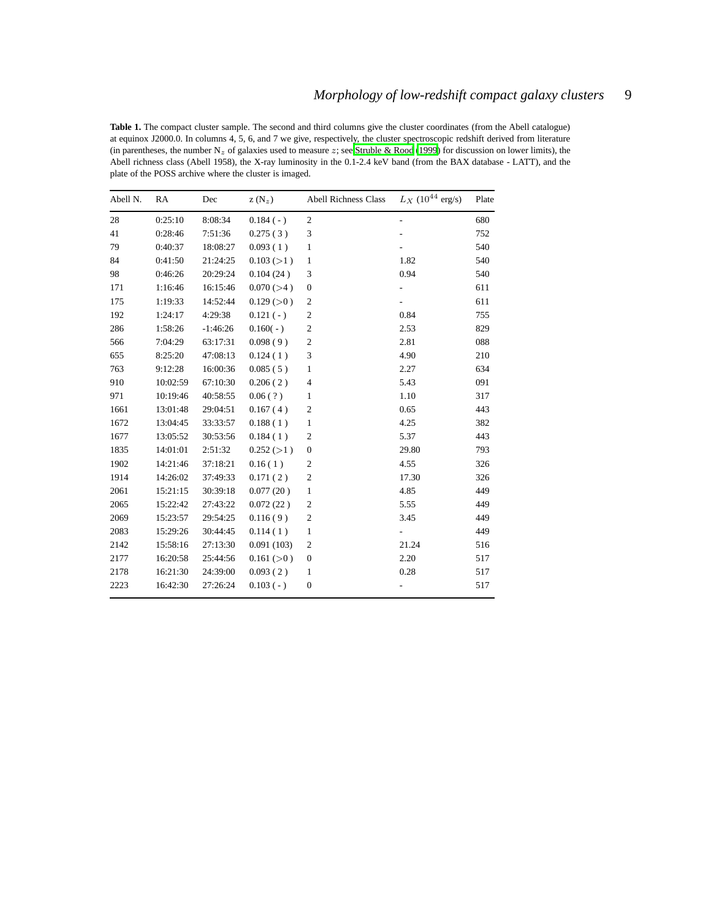<span id="page-8-0"></span>Table 1. The compact cluster sample. The second and third columns give the cluster coordinates (from the Abell catalogue) at equinox J2000.0. In columns 4, 5, 6, and 7 we give, respectively, the cluster spectroscopic redshift derived from literature (in parentheses, the number  $N_z$  of galaxies used to measure z; see [Struble & Rood \(1999\)](#page-7-55) for discussion on lower limits), the Abell richness class (Abell 1958), the X-ray luminosity in the 0.1-2.4 keV band (from the BAX database - LATT), and the plate of the POSS archive where the cluster is imaged.

| Abell N. | RA       | Dec        | $Z(N_z)$   | <b>Abell Richness Class</b> | $L_X$ (10 <sup>44</sup> erg/s) | Plate |
|----------|----------|------------|------------|-----------------------------|--------------------------------|-------|
| 28       | 0:25:10  | 8:08:34    | $0.184(-)$ | $\boldsymbol{2}$            | $\overline{\phantom{0}}$       | 680   |
| 41       | 0:28:46  | 7:51:36    | 0.275(3)   | 3                           |                                | 752   |
| 79       | 0:40:37  | 18:08:27   | 0.093(1)   | $\mathbf{1}$                |                                | 540   |
| 84       | 0:41:50  | 21:24:25   | 0.103 (>1) | $\mathbf{1}$                | 1.82                           | 540   |
| 98       | 0:46:26  | 20:29:24   | 0.104(24)  | 3                           | 0.94                           | 540   |
| 171      | 1:16:46  | 16:15:46   | 0.070 (>4) | $\mathbf{0}$                |                                | 611   |
| 175      | 1:19:33  | 14:52:44   | 0.129 (>0) | 2                           |                                | 611   |
| 192      | 1:24:17  | 4:29:38    | $0.121(-)$ | $\boldsymbol{2}$            | 0.84                           | 755   |
| 286      | 1:58:26  | $-1:46:26$ | $0.160(-)$ | $\overline{c}$              | 2.53                           | 829   |
| 566      | 7:04:29  | 63:17:31   | 0.098(9)   | $\boldsymbol{2}$            | 2.81                           | 088   |
| 655      | 8:25:20  | 47:08:13   | 0.124(1)   | 3                           | 4.90                           | 210   |
| 763      | 9:12:28  | 16:00:36   | 0.085(5)   | $\mathbf{1}$                | 2.27                           | 634   |
| 910      | 10:02:59 | 67:10:30   | 0.206(2)   | 4                           | 5.43                           | 091   |
| 971      | 10:19:46 | 40:58:55   | 0.06(?)    | $\mathbf{1}$                | 1.10                           | 317   |
| 1661     | 13:01:48 | 29:04:51   | 0.167(4)   | $\overline{c}$              | 0.65                           | 443   |
| 1672     | 13:04:45 | 33:33:57   | 0.188(1)   | $\mathbf{1}$                | 4.25                           | 382   |
| 1677     | 13:05:52 | 30:53:56   | 0.184(1)   | 2                           | 5.37                           | 443   |
| 1835     | 14:01:01 | 2:51:32    | 0.252 (>1) | $\mathbf{0}$                | 29.80                          | 793   |
| 1902     | 14:21:46 | 37:18:21   | 0.16(1)    | 2                           | 4.55                           | 326   |
| 1914     | 14:26:02 | 37:49:33   | 0.171(2)   | $\boldsymbol{2}$            | 17.30                          | 326   |
| 2061     | 15:21:15 | 30:39:18   | 0.077(20)  | $\mathbf{1}$                | 4.85                           | 449   |
| 2065     | 15:22:42 | 27:43:22   | 0.072(22)  | $\boldsymbol{2}$            | 5.55                           | 449   |
| 2069     | 15:23:57 | 29:54:25   | 0.116(9)   | $\boldsymbol{2}$            | 3.45                           | 449   |
| 2083     | 15:29:26 | 30:44:45   | 0.114(1)   | $\mathbf{1}$                |                                | 449   |
| 2142     | 15:58:16 | 27:13:30   | 0.091(103) | 2                           | 21.24                          | 516   |
| 2177     | 16:20:58 | 25:44:56   | 0.161 (>0) | $\mathbf{0}$                | 2.20                           | 517   |
| 2178     | 16:21:30 | 24:39:00   | 0.093(2)   | 1                           | 0.28                           | 517   |
| 2223     | 16:42:30 | 27:26:24   | $0.103(-)$ | $\mathbf{0}$                |                                | 517   |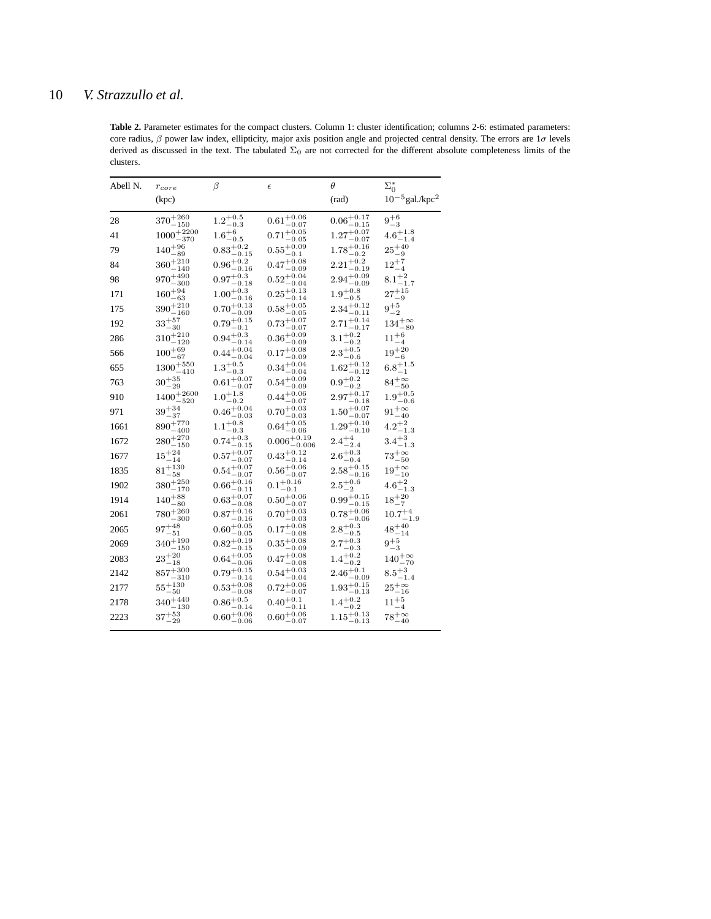<span id="page-9-0"></span>Table 2. Parameter estimates for the compact clusters. Column 1: cluster identification; columns 2-6: estimated parameters: core radius,  $\beta$  power law index, ellipticity, major axis position angle and projected central density. The errors are  $1\sigma$  levels derived as discussed in the text. The tabulated  $\Sigma_0$  are not corrected for the different absolute completeness limits of the clusters.

| Abell N. | $r_{core}$                                | β                                 | $\epsilon$                               | $\theta$                          | $\Sigma_0^*$                    |
|----------|-------------------------------------------|-----------------------------------|------------------------------------------|-----------------------------------|---------------------------------|
|          | (kpc)                                     |                                   |                                          | (rad)                             | $10^{-5}$ gal./kpc <sup>2</sup> |
| 28       | $370^{+260}_{-150}$                       | $1.2^{+0.5}_{-0.3}$               | $0.61^{+0.06}_{-0.07}$                   | $0.06^{+0.17}_{-0.15}$            | $9^{+6}_{-3}$                   |
| 41       | $1000^{+2200}$<br>$-370$                  | $1.6^{+6}_{-0.5}$                 | $0.71^{+0.05}_{-0.05}$<br>$^{\rm -0.05}$ | $1.27^{+0.07}_{-0.07}$<br>$-0.07$ | $4.6^{+1.8}_{-1.4}$             |
| 79       | $140^{+96}_{-89}$                         | $0.83^{+0.2}_{-0.15}$             | $0.55^{+0.09}_{-0.1}$                    | $1.78^{+0.16}$<br>$-0.2$          | $25^{+40}_{-9}$                 |
| 84       | $360^{+210}_{-140}$                       | $0.96^{+0.2}_{-0.16}$             | $0.47^{+0.08}_{-0.09}$                   | $2.21^{+0.2}_{-0.19}$             | $12^{+7}_{-4}$                  |
| 98       | $970^{+490}_{-300}\,$                     | $0.97^{+0.3}_{-0.18}$             | $0.52^{+0.04}_{-0.04}$                   | $2.94^{+0.09}_{-0.09}$            | $8.1^{+2}_{-1.7}$               |
| 171      | $160^{+94}_{-63}$                         | $1.00^{+0.3}_{-0.16}$             | $0.25^{+0.13}_{-0.14}$                   | $1.9^{+0.8}_{-0.5}$               | $27^{+15}_{-9}$                 |
| 175      | $390^{+210}_{-160}$                       | $0.70^{+0.13}_{-0.09}$            | $0.58 \substack{+0.05 \\ -0.05}$         | $2.34_{-0.11}^{+0.12}$            | $9^{+5}\,$<br>$^{-2}$           |
| 192      | $33^{+57}_{-30}$                          | $0.79^{+0.15}_{-0.15}$<br>$-0.1$  | $0.73^{+0.07}_{-0.07}$                   | $2.71^{+0.14}_{-0.17}$            | $134^{+\infty}_{-80}$           |
| 286      | $310^{+210}_{-120}$                       | $0.94 \substack{+0.3 \\ -0.14}$   | $0.36^{+0.09}_{-0.09}$                   | $3.1^{+0.2}_{-0.2}$               | $11^{+6}_{-4}$                  |
| 566      | $100^{+69}_{-67}$                         | $0.44^{+0.04}_{-0.04}$            | $0.17^{+0.08}_{-0.09}$                   | $2.3^{+0.5}_{-0.6}$               | $19^{+20}_{-6}$                 |
| 655      | $1300^{+550}\,$<br>$-410$                 | $1.3^{+0.5}_{-0.3}$               | $0.34_{+0.04}^{+0.04}$<br>$^{-0.04}$     | $1.62^{+0.12}$                    | $6.8^{+1.5}$<br>$^{-1}$         |
| 763      | $30^{+35}_{-29}$                          | $0.61^{+0.07}_{-0.07}$            | $0.54^{+0.09}_{-0.09}$                   | $0.9^{+0.2}_{-0.2}$               | $84^{+\infty}_{-50}$            |
| 910      | $1400^{+2600}_{-520}$                     | $1.0^{+1.8}_{-0.2}$               | $0.44^{+0.06}_{-0.06}$<br>$^{-0.07}$     | $2.97^{+0.17}_{-0.17}$<br>$-0.18$ | $1.9^{+0.5}_{-0.6}$             |
| 971      | $39^{+34}_{-37}$                          | $0.46^{+0.04}_{-0.03}$            | $0.70^{+0.03}_{-0.03}$                   | $1.50^{+0.07}_{-0.07}$            | $91^{+\infty}_{-40}$            |
| 1661     | $890^{+770}_{-400}$                       | $1.1^{+0.8}_{-0.3}$               | $0.64\substack{+0.05\\-0.05}$<br>$-0.06$ | $1.29^{+0.10}_{-0.10}$            | $\,4.2^{+2}_{-1.3}\,$           |
| 1672     | $280 + 270$<br>$-150$                     | $0.74^{+0.3}$<br>$^{-0.15}$       | $0.006 \substack{+0.19 \\ -0.006}$       | $2.4^{+4}_{-2.4}$                 | $3.4 + 3$<br>$^{-1.3}$          |
| 1677     | ${\bf 15^{+24}_{-14}}$                    | $0.57^{+0.07}_{-0.07}$            | $0.43^{+0.12}_{-0.14}$                   | $2.6^{+0.3}_{-0.4}$               | $^{73^{+\infty}_{-50}}$         |
| 1835     | $81^{+130}_{-58}$                         | $0.54^{+0.07}_{-0.07}$            | $0.56^{+0.06}_{-0.07}$                   | $2.58^{+0.15}_{-0.16}$            | $19^{+\infty}$<br>$^{-10}$      |
| 1902     | $380 + 250$<br>$^{-170}$                  | $0.66^{+0.16}_{-0.11}$            | $0.1^{+0.16}_{-0.1}$                     | $2.5^{+0.6}_{-2}$                 | $4.6+2$<br>$^{-1.3}$            |
| 1914     | $140^{+88}_{-80}$                         | $0.63^{+0.07}_{-0.08}$            | $0.50^{+0.06}_{-0.07}$                   | $0.99^{+0.15}_{-0.15}$            | $18^{+20}_{-7}$                 |
| 2061     | $780^{+260}_{-300}$                       | $0.87^{+0.16}_{-0.16}$            | $0.70^{+0.03}_{-0.03}$                   | $0.78^{+0.06}_{-0.06}$            | $10.7^{+4}_{-1.9}$              |
| 2065     | $97^{+48}_{-51}$                          | $0.60^{+0.05}_{-0.05}$            | $0.17^{+0.08}_{-0.08}$                   | $2.8^{+0.3}_{-0.5}$               | $48^{+40}_{-14}$                |
| 2069     | $340\substack{+190 \\ -\cdots}$<br>$-150$ | $0.82^{+0.19}_{-0.19}$<br>$-0.15$ | $0.35 + 0.08$<br>$-0.09$                 | $2.7^{+0.3}_{-0.3}$               | $9^{+5}\,$<br>$^{-3}$           |
| 2083     | $23^{+20}_{-18}$                          | $0.64^{+0.05}_{-0.06}$            | $0.47^{+0.08}_{-0.08}$                   | $1.4^{+0.2}_{-0.2}$               | $140^{+\infty}_{-70}$           |
| 2142     | $857^{+300}_{-310}$                       | $0.79^{+0.15}_{-0.14}$            | $0.54^{+0.03}_{-0.04}$                   | $2.46^{+0.1}_{-0.09}$             | $8.5^{+3}_{-1.4}$               |
| 2177     | $55^{+130}_{-50}$                         | $0.53^{+0.08}_{-0.08}$            | $0.72^{+0.06}_{-0.07}$                   | $1.93^{+0.15}_{-0.13}$            | $25^{+\infty}_{-16}$            |
| 2178     | $340 + 440$<br>$^{-130}$                  | $0.86^{+0.5}_{-0.14}$             | $0.40^{+0.1}_{-0.1}$<br>$-0.11$          | $1.4^{+0.2}$<br>$^{ -0.2}$        | $11^{+5}$<br>$^{-4}$            |
| 2223     | $37^{+53}_{-29}$                          | $0.60^{+0.06}_{-0.06}$            | $0.60^{+0.06}_{-0.07}$                   | $1.15^{+0.13}_{-0.13}$            | $78^{+\infty}_{-40}$            |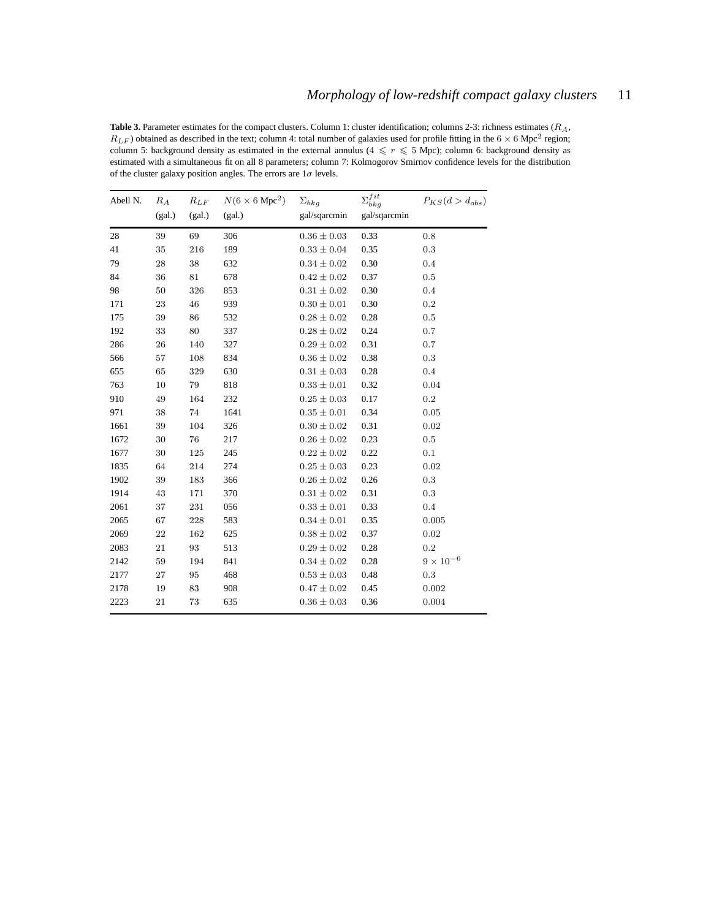<span id="page-10-0"></span>Table 3. Parameter estimates for the compact clusters. Column 1: cluster identification; columns 2-3: richness estimates (R<sub>A</sub>,  $R_{LF}$ ) obtained as described in the text; column 4: total number of galaxies used for profile fitting in the 6  $\times$  6 Mpc<sup>2</sup> region; column 5: background density as estimated in the external annulus ( $4 \leq r \leq 5$  Mpc); column 6: background density as estimated with a simultaneous fit on all 8 parameters; column 7: Kolmogorov Smirnov confidence levels for the distribution of the cluster galaxy position angles. The errors are  $1\sigma$  levels.

| Abell N. | $R_A$  | $R_{LF}$ | $N(6 \times 6 \text{ Mpc}^2)$ | $\Sigma_{bkg}$  | $\Sigma_{bkg}^{fit}$ | $P_{KS}(d > d_{obs})$ |
|----------|--------|----------|-------------------------------|-----------------|----------------------|-----------------------|
|          | (gal.) | (gal.)   | (gal.)                        | gal/sqarcmin    | gal/sqarcmin         |                       |
| 28       | 39     | 69       | 306                           | $0.36 \pm 0.03$ | 0.33                 | 0.8                   |
| 41       | 35     | 216      | 189                           | $0.33 \pm 0.04$ | 0.35                 | 0.3                   |
| 79       | 28     | 38       | 632                           | $0.34 \pm 0.02$ | 0.30                 | 0.4                   |
| 84       | 36     | 81       | 678                           | $0.42 \pm 0.02$ | 0.37                 | $0.5\,$               |
| 98       | 50     | 326      | 853                           | $0.31 \pm 0.02$ | 0.30                 | 0.4                   |
| 171      | 23     | 46       | 939                           | $0.30 \pm 0.01$ | 0.30                 | 0.2                   |
| 175      | 39     | 86       | 532                           | $0.28 \pm 0.02$ | 0.28                 | 0.5                   |
| 192      | 33     | 80       | 337                           | $0.28 \pm 0.02$ | 0.24                 | 0.7                   |
| 286      | 26     | 140      | 327                           | $0.29 \pm 0.02$ | 0.31                 | 0.7                   |
| 566      | 57     | 108      | 834                           | $0.36 \pm 0.02$ | 0.38                 | 0.3                   |
| 655      | 65     | 329      | 630                           | $0.31 \pm 0.03$ | 0.28                 | 0.4                   |
| 763      | 10     | 79       | 818                           | $0.33 \pm 0.01$ | 0.32                 | 0.04                  |
| 910      | 49     | 164      | 232                           | $0.25 \pm 0.03$ | 0.17                 | 0.2                   |
| 971      | 38     | 74       | 1641                          | $0.35 \pm 0.01$ | 0.34                 | 0.05                  |
| 1661     | 39     | 104      | 326                           | $0.30 \pm 0.02$ | 0.31                 | 0.02                  |
| 1672     | 30     | 76       | 217                           | $0.26 \pm 0.02$ | 0.23                 | 0.5                   |
| 1677     | 30     | 125      | 245                           | $0.22 \pm 0.02$ | 0.22                 | 0.1                   |
| 1835     | 64     | 214      | 274                           | $0.25 \pm 0.03$ | 0.23                 | 0.02                  |
| 1902     | 39     | 183      | 366                           | $0.26 \pm 0.02$ | 0.26                 | 0.3                   |
| 1914     | 43     | 171      | 370                           | $0.31 \pm 0.02$ | 0.31                 | 0.3                   |
| 2061     | 37     | 231      | 056                           | $0.33 \pm 0.01$ | 0.33                 | 0.4                   |
| 2065     | 67     | 228      | 583                           | $0.34 \pm 0.01$ | 0.35                 | 0.005                 |
| 2069     | 22     | 162      | 625                           | $0.38 \pm 0.02$ | 0.37                 | 0.02                  |
| 2083     | 21     | 93       | 513                           | $0.29 \pm 0.02$ | 0.28                 | 0.2                   |
| 2142     | 59     | 194      | 841                           | $0.34 \pm 0.02$ | 0.28                 | $9 \times 10^{-6}$    |
| 2177     | 27     | 95       | 468                           | $0.53 \pm 0.03$ | 0.48                 | $0.3\,$               |
| 2178     | 19     | 83       | 908                           | $0.47 \pm 0.02$ | 0.45                 | 0.002                 |
| 2223     | 21     | 73       | 635                           | $0.36 \pm 0.03$ | 0.36                 | 0.004                 |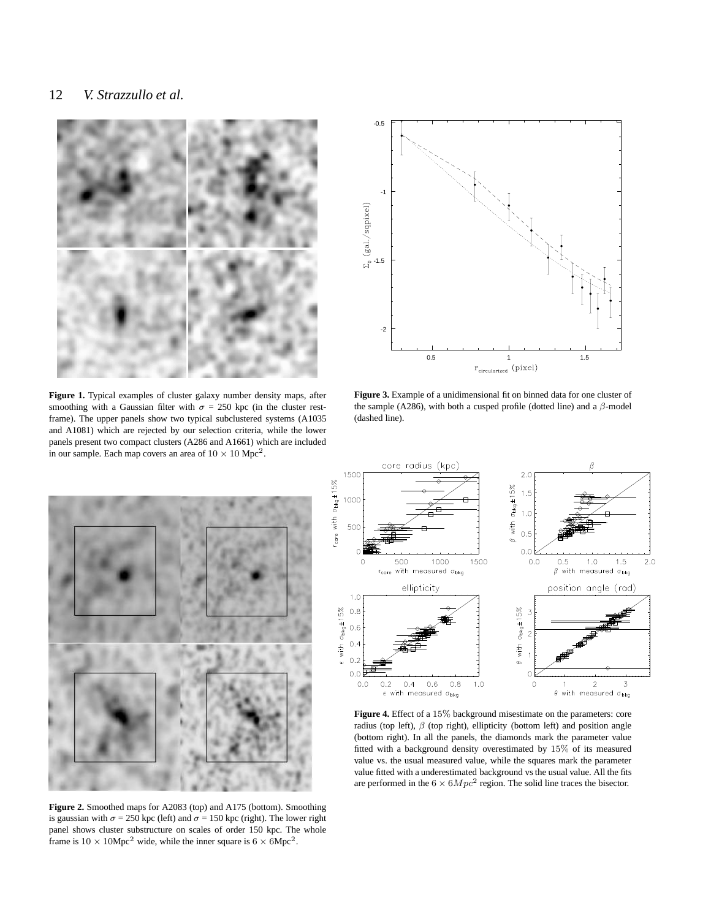

<span id="page-11-0"></span>**Figure 1.** Typical examples of cluster galaxy number density maps, after smoothing with a Gaussian filter with  $\sigma = 250$  kpc (in the cluster restframe). The upper panels show two typical subclustered systems (A1035 and A1081) which are rejected by our selection criteria, while the lower panels present two compact clusters (A286 and A1661) which are included in our sample. Each map covers an area of  $10 \times 10 \text{ Mpc}^2$ .



<span id="page-11-2"></span>**Figure 3.** Example of a unidimensional fit on binned data for one cluster of the sample (A286), with both a cusped profile (dotted line) and a  $\beta$ -model (dashed line).

<span id="page-11-1"></span>

**Figure 2.** Smoothed maps for A2083 (top) and A175 (bottom). Smoothing is gaussian with  $\sigma = 250$  kpc (left) and  $\sigma = 150$  kpc (right). The lower right panel shows cluster substructure on scales of order 150 kpc. The whole frame is  $10 \times 10 \text{Mpc}^2$  wide, while the inner square is  $6 \times 6 \text{Mpc}^2$ .



<span id="page-11-3"></span>**Figure 4.** Effect of a 15% background misestimate on the parameters: core radius (top left),  $\beta$  (top right), ellipticity (bottom left) and position angle (bottom right). In all the panels, the diamonds mark the parameter value fitted with a background density overestimated by 15% of its measured value vs. the usual measured value, while the squares mark the parameter value fitted with a underestimated background vs the usual value. All the fits are performed in the  $6 \times 6Mpc^2$  region. The solid line traces the bisector.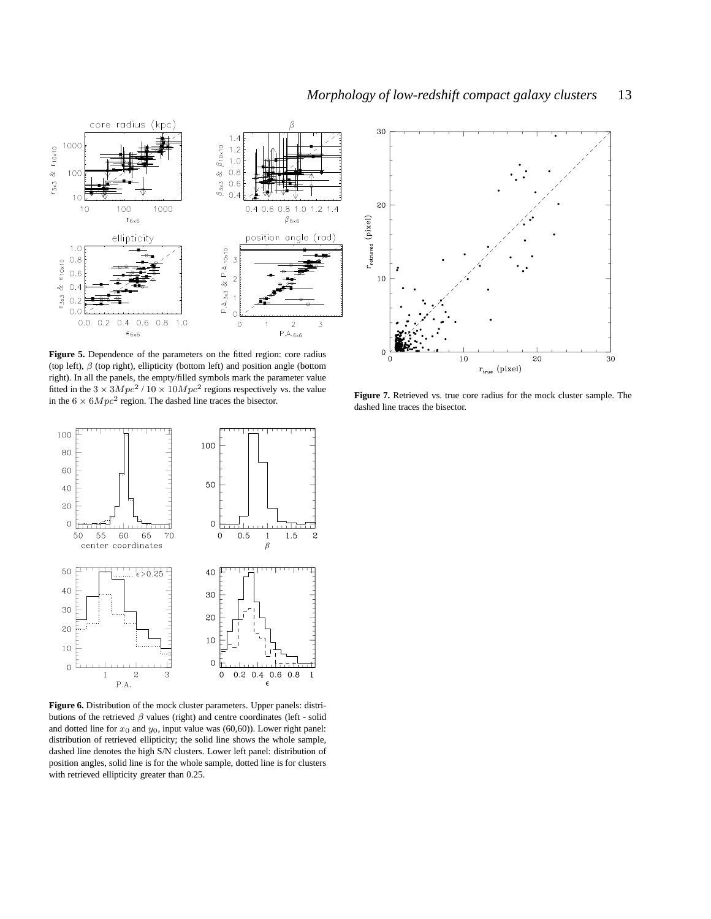

<span id="page-12-0"></span>Figure 5. Dependence of the parameters on the fitted region: core radius (top left),  $\beta$  (top right), ellipticity (bottom left) and position angle (bottom right). In all the panels, the empty/filled symbols mark the parameter value fitted in the  $3 \times 3Mpc^2 / 10 \times 10Mpc^2$  regions respectively vs. the value in the  $6 \times 6Mpc^2$  region. The dashed line traces the bisector.



<span id="page-12-2"></span>**Figure 7.** Retrieved vs. true core radius for the mock cluster sample. The dashed line traces the bisector.



<span id="page-12-1"></span>**Figure 6.** Distribution of the mock cluster parameters. Upper panels: distributions of the retrieved  $\beta$  values (right) and centre coordinates (left - solid and dotted line for  $x_0$  and  $y_0$ , input value was (60,60)). Lower right panel: distribution of retrieved ellipticity; the solid line shows the whole sample, dashed line denotes the high S/N clusters. Lower left panel: distribution of position angles, solid line is for the whole sample, dotted line is for clusters with retrieved ellipticity greater than 0.25.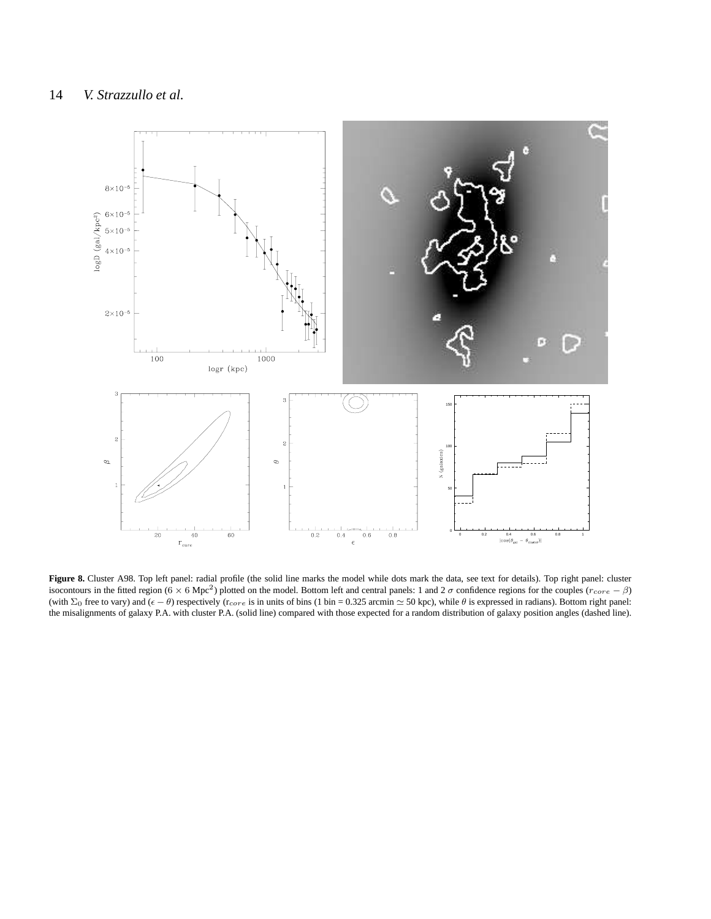

<span id="page-13-0"></span>Figure 8. Cluster A98. Top left panel: radial profile (the solid line marks the model while dots mark the data, see text for details). Top right panel: cluster isocontours in the fitted region (6 × 6 Mpc<sup>2</sup>) plotted on the model. Bottom left and central panels: 1 and 2  $\sigma$  confidence regions for the couples ( $r_{core} - \beta$ ) (with  $\Sigma_0$  free to vary) and ( $\epsilon - \theta$ ) respectively ( $r_{core}$  is in units of bins (1 bin = 0.325 arcmin  $\simeq$  50 kpc), while  $\theta$  is expressed in radians). Bottom right panel: the misalignments of galaxy P.A. with cluster P.A. (solid line) compared with those expected for a random distribution of galaxy position angles (dashed line).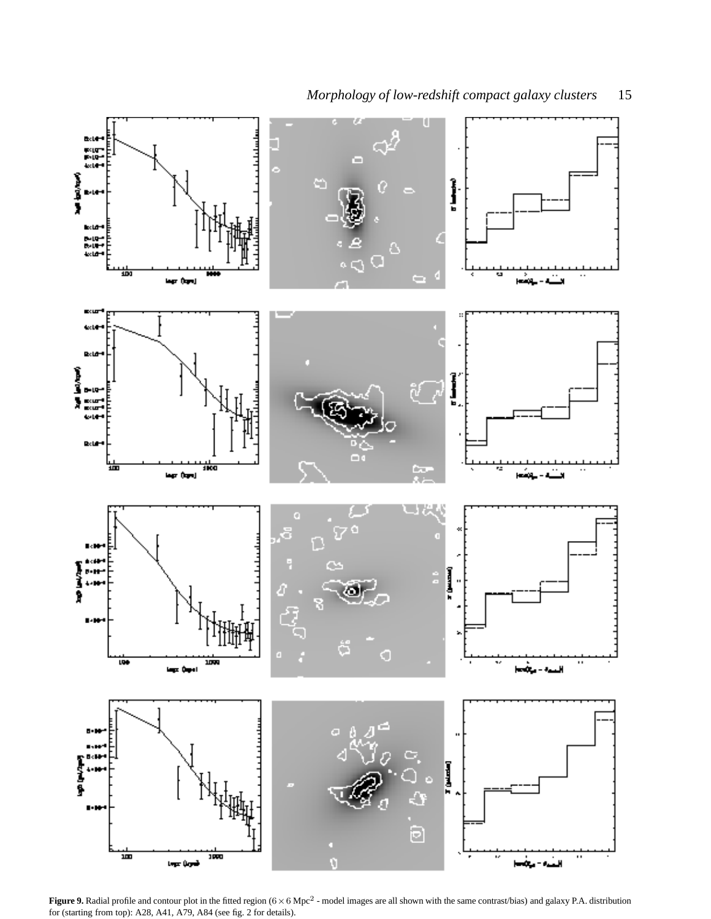

**Figure 9.** Radial profile and contour plot in the fitted region  $(6 \times 6 \text{ Mpc}^2)$  - model images are all shown with the same contrast/bias) and galaxy P.A. distribution for (starting from top): A28, A41, A79, A84 (see fig. 2 for details).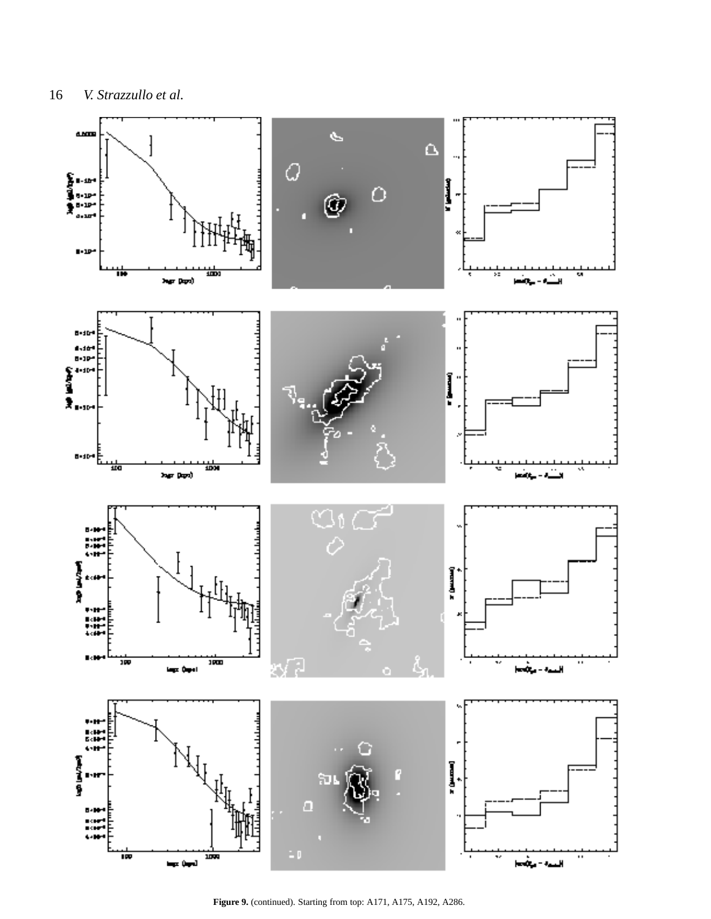

Figure 9. (continued). Starting from top: A171, A175, A192, A286.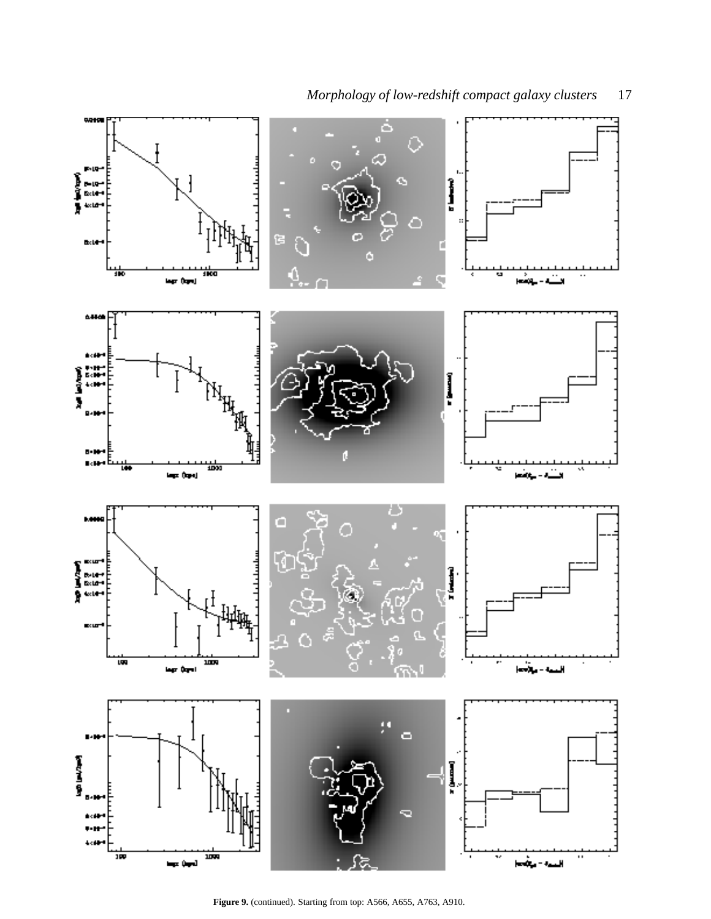

**Figure 9.** (continued). Starting from top: A566, A655, A763, A910.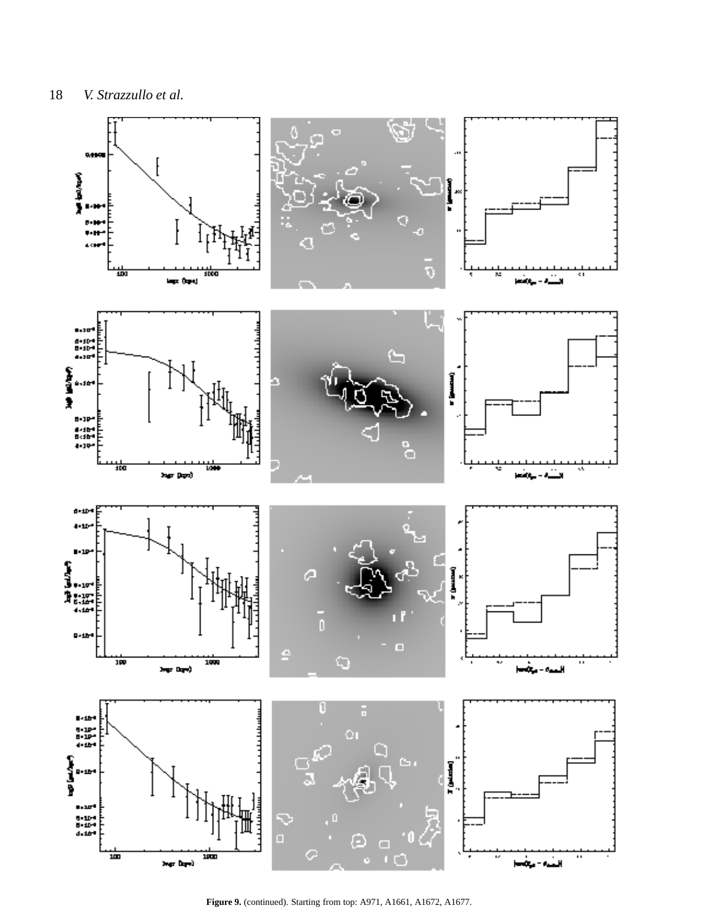

Figure 9. (continued). Starting from top: A971, A1661, A1672, A1677.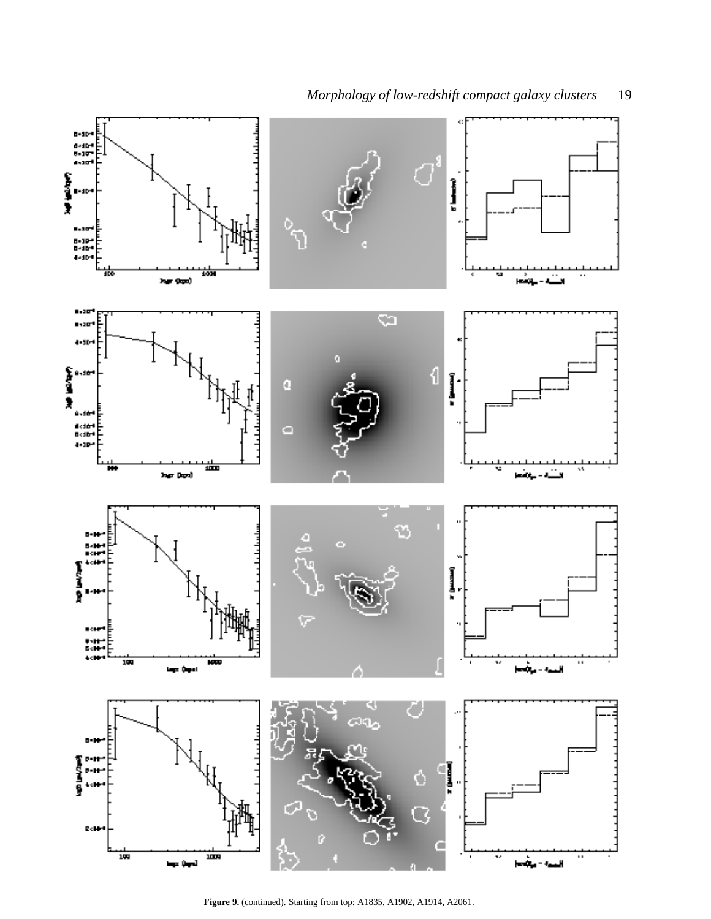

**Figure 9.** (continued). Starting from top: A1835, A1902, A1914, A2061.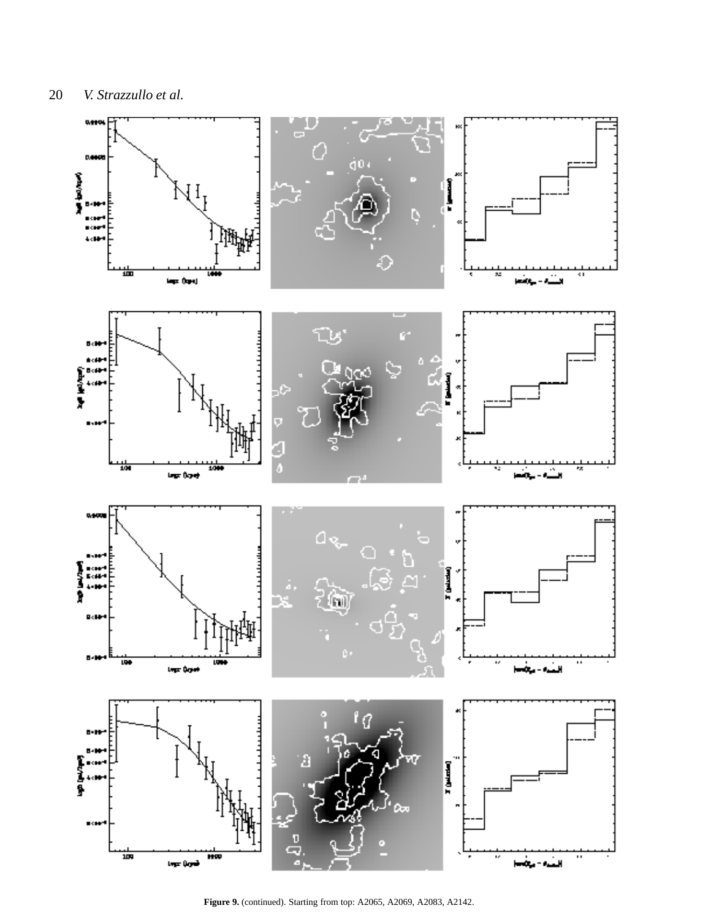

Figure 9. (continued). Starting from top: A2065, A2069, A2083, A2142.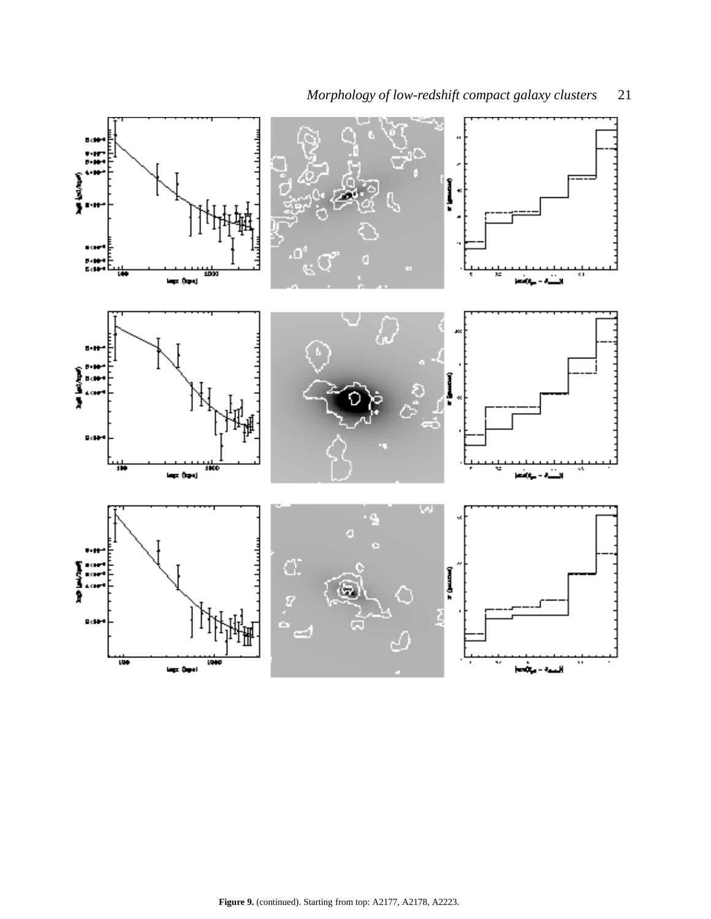<span id="page-20-0"></span>

*Morphology of low-redshift compact galaxy clusters* 21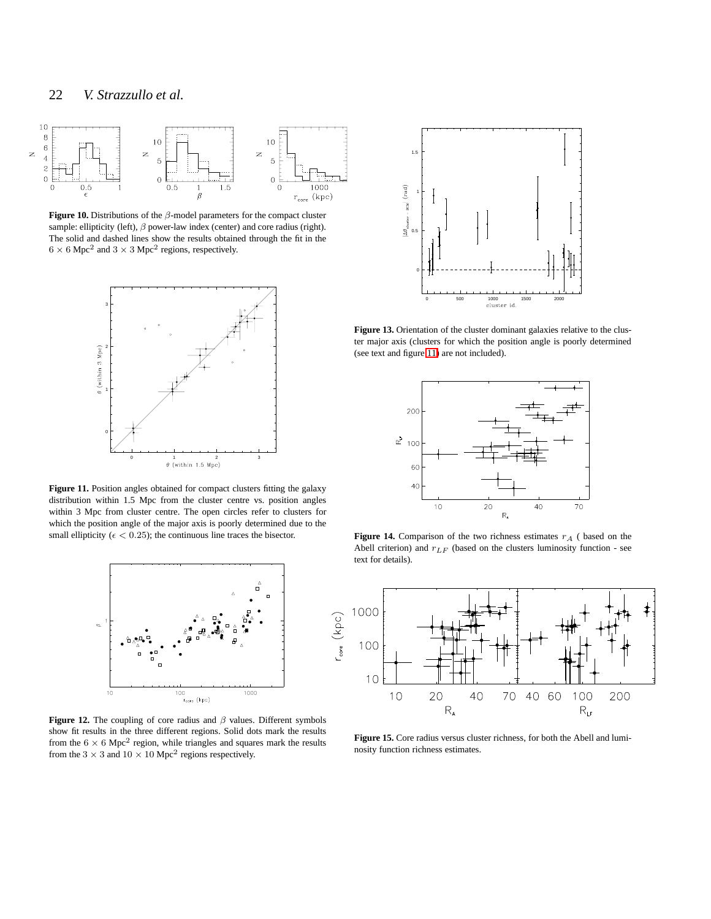

<span id="page-21-0"></span>**Figure 10.** Distributions of the β-model parameters for the compact cluster sample: ellipticity (left),  $\beta$  power-law index (center) and core radius (right). The solid and dashed lines show the results obtained through the fit in the  $6 \times 6$  Mpc<sup>2</sup> and  $3 \times 3$  Mpc<sup>2</sup> regions, respectively.



<span id="page-21-1"></span>Figure 11. Position angles obtained for compact clusters fitting the galaxy distribution within 1.5 Mpc from the cluster centre vs. position angles within 3 Mpc from cluster centre. The open circles refer to clusters for which the position angle of the major axis is poorly determined due to the small ellipticity ( $\epsilon$  < 0.25); the continuous line traces the bisector.



<span id="page-21-2"></span>**Figure 12.** The coupling of core radius and  $\beta$  values. Different symbols show fit results in the three different regions. Solid dots mark the results from the  $6 \times 6$  Mpc<sup>2</sup> region, while triangles and squares mark the results from the  $3 \times 3$  and  $10 \times 10$  Mpc<sup>2</sup> regions respectively.



<span id="page-21-3"></span>Figure 13. Orientation of the cluster dominant galaxies relative to the cluster major axis (clusters for which the position angle is poorly determined (see text and figure [11\)](#page-21-1) are not included).



<span id="page-21-4"></span>**Figure 14.** Comparison of the two richness estimates  $r_A$  ( based on the Abell criterion) and  $r_{LF}$  (based on the clusters luminosity function - see text for details).



<span id="page-21-5"></span>**Figure 15.** Core radius versus cluster richness, for both the Abell and luminosity function richness estimates.